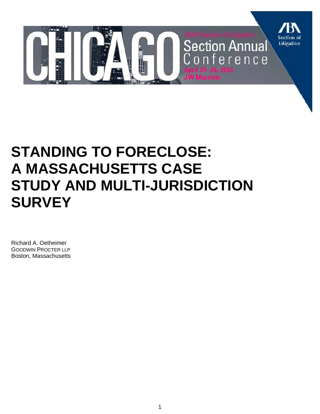

# **STANDING TO FORECLOSE: A MASSACHUSETTS CASE STUDY AND MULTI-JURISDICTION SURVEY**

Richard A. Oetheimer GOODWIN PROCTER LLP Boston, Massachusetts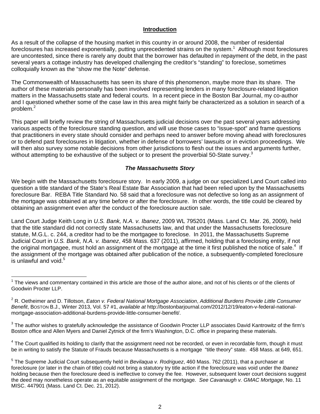#### **Introduction**

As a result of the collapse of the housing market in this country in or around 2008, the number of residential foreclosures has increased exponentially, putting unprecedented strains on the system.<sup>1</sup> Although most foreclosures are uncontested, since there is rarely any doubt that the borrower has defaulted in repayment of the debt, in the past several years a cottage industry has developed challenging the creditor's "standing" to foreclose, sometimes colloquially known as the "show me the Note" defense.

The Commonwealth of Massachusetts has seen its share of this phenomenon, maybe more than its share. The author of these materials personally has been involved representing lenders in many foreclosure-related litigation matters in the Massachusetts state and federal courts. In a recent piece in the Boston Bar Journal, my co-author and I questioned whether some of the case law in this area might fairly be characterized as a solution in search of a problem.<sup>2</sup>

This paper will briefly review the string of Massachusetts judicial decisions over the past several years addressing various aspects of the foreclosure standing question, and will use those cases to "issue-spot" and frame questions that practitioners in every state should consider and perhaps need to answer before moving ahead with foreclosures or to defend past foreclosures in litigation, whether in defense of borrowers' lawsuits or in eviction proceedings. We will then also survey some notable decisions from other jurisdictions to flesh out the issues and arguments further, without attempting to be exhaustive of the subject or to present the proverbial 50-State survey.<sup>3</sup>

#### *The Massachusetts Story*

We begin with the Massachusetts foreclosure story. In early 2009, a judge on our specialized Land Court called into question a title standard of the State's Real Estate Bar Association that had been relied upon by the Massachusetts foreclosure Bar. REBA Title Standard No. 58 said that a foreclosure was not defective so long as an assignment of the mortgage was obtained at any time before or after the foreclosure. In other words, the title could be cleared by obtaining an assignment even after the conduct of the foreclosure auction sale.

Land Court Judge Keith Long in *U.S. Bank, N.A. v. Ibanez*, 2009 WL 795201 (Mass. Land Ct. Mar. 26, 2009), held that the title standard did not correctly state Massachusetts law, and that under the Massachusetts foreclosure statute, M.G.L. c. 244, a creditor had to be the mortgagee to foreclose. In 2011, the Massachusetts Supreme Judicial Court in *U.S. Bank, N.A. v. Ibanez*, 458 Mass. 637 (2011), affirmed, holding that a foreclosing entity, if not the original mortgagee, must hold an assignment of the mortgage at the time it first published the notice of sale.<sup>4</sup> If the assignment of the mortgage was obtained after publication of the notice, a subsequently-completed foreclosure is unlawful and void. $5$ 

 $\overline{a}$ 

 $^3$  The author wishes to gratefully acknowledge the assistance of Goodwin Procter LLP associates David Kantrowitz of the firm's Boston office and Allen Myers and Daniel Zytnick of the firm's Washington, D.C. office in preparing these materials.

<sup>4</sup> The Court qualified its holding to clarify that the assignment need not be recorded, or even in recordable form, though it must be in writing to satisfy the Statute of Frauds because Massachusetts is a mortgage "title theory" state. 458 Mass. at 649, 651.

<sup>&</sup>lt;sup>1</sup> The views and commentary contained in this article are those of the author alone, and not of his clients or of the clients of Goodwin Procter LLP.

<sup>2</sup> R. Oetheimer and D. Tillotson, *Eaton v. Federal National Mortgage Association*, *Additional Burdens Provide Little Consumer Benefit*, BOSTON B.J., Winter 2013, Vol. 57 #1, *available at* http://bostonbarjournal.com/2012/12/19/eaton-v-federal-nationalmortgage-association-additional-burdens-provide-little-consumer-benefit/.

<sup>5</sup> The Supreme Judicial Court subsequently held in *Bevilaqua v. Rodriguez*, 460 Mass. 762 (2011), that a purchaser at foreclosure (or later in the chain of title) could not bring a statutory try title action if the foreclosure was void under the *Ibanez* holding because then the foreclosure deed is ineffective to convey the fee. However, subsequent lower court decisions suggest the deed may nonetheless operate as an equitable assignment of the mortgage. *See Cavanaugh v. GMAC Mortgage*, No. 11 MISC. 447901 (Mass. Land Ct. Dec. 21, 2012).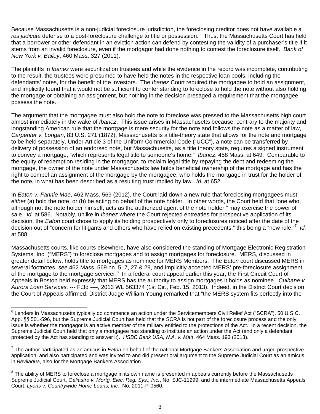Because Massachusetts is a non-judicial foreclosure jurisdiction, the foreclosing creditor does not have available a res judicata defense to a post-foreclosure challenge to title or possession.<sup>6</sup> Thus, the Massachusetts Court has held that a borrower or other defendant in an eviction action can defend by contesting the validity of a purchaser's title if it stems from an invalid foreclosure, even if the mortgagor had done nothing to contest the foreclosure itself. *Bank of New York v. Bailey*, 460 Mass. 327 (2011).

The plaintiffs in *Ibanez* were securitization trustees and while the evidence in the record was incomplete, contributing to the result, the trustees were presumed to have held the notes in the respective loan pools, including the defendants' notes, for the benefit of the investors. The *Ibanez* Court required the mortgagee to hold an assignment, and implicitly found that it would not be sufficient to confer standing to foreclose to hold the note without also holding the mortgage or obtaining an assignment, but nothing in the decision presaged a requirement that the mortgagee possess the note.

The argument that the mortgagee must also hold the note to foreclose was pressed to the Massachusetts high court almost immediately in the wake of *Ibanez*. This issue arises in Massachusetts because, contrary to the majority and longstanding American rule that the mortgage is mere security for the note and follows the note as a matter of law, *Carpenter v. Longan*, 83 U.S. 271 (1872), Massachusetts is a title-theory state that allows for the note and mortgage to be held separately. Under Article 3 of the Uniform Commercial Code ("UCC"), a note can be transferred by delivery of possession of an endorsed note, but Massachusetts, as a title theory state, requires a signed instrument to convey a mortgage, "which represents legal title to someone's home." *Ibanez*, 458 Mass. at 649. Comparable to the equity of redemption residing in the mortgagor, to reclaim legal title by repaying the debt and redeeming the mortgage, the owner of the note under Massachusetts law holds beneficial ownership of the mortgage and has the right to compel an assignment of the mortgage by the mortgagee, who holds the mortgage in trust for the holder of the note, in what has been described as a resulting trust implied by law. *Id.* at 652.

In *Eaton v. Fannie Mae*, 462 Mass. 569 (2012), the Court laid down a new rule that foreclosing mortgagees must *either* (a) hold the note, or (b) be acting on behalf of the note holder. In other words, the Court held that "one who, although not the note holder himself, acts as the authorized agent of the note holder," may exercise the power of sale. *Id.* at 586. Notably, unlike in *Ibanez* where the Court rejected entreaties for prospective application of its decision, the *Eaton* court chose to apply its holding prospectively only to foreclosures noticed after the date of the decision out of "concern for litigants and others who have relied on existing precedents," this being a "new rule."<sup>7</sup> *Id.* at 588.

Massachusetts courts, like courts elsewhere, have also considered the standing of Mortgage Electronic Registration Systems, Inc. ("MERS") to foreclose mortgages and to assign mortgages for foreclosure. MERS, discussed in greater detail below, holds title to mortgages as nominee for MERS Members. The *Eaton* court discussed MERS in several footnotes, *see* 462 Mass. 569 nn. 5, 7, 27 & 29, and implicitly accepted MERS' pre-foreclosure assignment of the mortgage to the mortgage servicer.<sup>8</sup> In a federal court appeal earlier this year, the First Circuit Court of Appeals in Boston held expressly that MERS has the authority to assign mortgages it holds as nominee. *Culhane v. Aurora Loan Services,* --- F.3d ----, 2013 WL 563374 (1st Cir., Feb. 15, 2013). Indeed, in the District Court decision the Court of Appeals affirmed, District Judge William Young remarked that "the MERS system fits perfectly into the

<sup>&</sup>lt;sup>6</sup> Lenders in Massachusetts typically do commence an action under the Servicemembers Civil Relief Act ("SCRA"), 50 U.S.C. App. §§ 501-596, but the Supreme Judicial Court has held that the SCRA is not part of the foreclosure process and the only issue is whether the mortgagor is an active member of the military entitled to the protections of the Act. In a recent decision, the Supreme Judicial Court held that only a mortgagee has standing to institute an action under the Act (and only a defendant protected by the Act has standing to answer it). *HSBC Bank USA, N.A. v. Matt*, 464 Mass. 193 (2013).

<sup>7</sup> The author participated as an amicus in *Eaton* on behalf of the national Mortgage Bankers Association and urged prospective application, and also participated and was invited to and did present oral argument to the Supreme Judicial Court as an amicus in *Bevilaqua*, also for the Mortgage Bankers Association.

 $^8$  The ability of MERS to foreclose a mortgage in its own name is presented in appeals currently before the Massachusetts Supreme Judicial Court, *Galiastro v. Mortg. Elec. Reg. Sys., Inc.*, No. SJC-11299, and the intermediate Massachusetts Appeals Court, *Lyons v. Countrywide Home Loans, Inc.*, No. 2011-P-0560.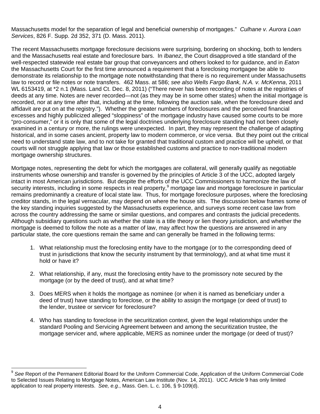Massachusetts model for the separation of legal and beneficial ownership of mortgages." *Culhane v. Aurora Loan Services*, 826 F. Supp. 2d 352, 371 (D. Mass. 2011).

The recent Massachusetts mortgage foreclosure decisions were surprising, bordering on shocking, both to lenders and the Massachusetts real estate and foreclosure bars. In *Ibanez*, the Court disapproved a title standard of the well-respected statewide real estate bar group that conveyancers and others looked to for guidance, and in *Eaton* the Massachusetts Court for the first time announced a requirement that a foreclosing mortgagee be able to demonstrate its relationship to the mortgage note notwithstanding that there is no requirement under Massachusetts law to record or file notes or note transfers. 462 Mass. at 586; *see also Wells Fargo Bank, N.A. v. McKenna*, 2011 WL 6153419, at \*2 n.1 (Mass. Land Ct. Dec. 8, 2011) ("There never has been recording of notes at the registries of deeds at any time. Notes are never recorded—not (as they may be in some other states) when the initial mortgage is recorded, nor at any time after that, including at the time, following the auction sale, when the foreclosure deed and affidavit are put on at the registry."). Whether the greater numbers of foreclosures and the perceived financial excesses and highly publicized alleged "sloppiness" of the mortgage industry have caused some courts to be more "pro-consumer," or it is only that some of the legal doctrines underlying foreclosure standing had not been closely examined in a century or more, the rulings were unexpected. In part, they may represent the challenge of adapting historical, and in some cases ancient, property law to modern commerce, or vice versa. But they point out the critical need to understand state law, and to not take for granted that traditional custom and practice will be upheld, or that courts will not struggle applying that law or those established customs and practice to non-traditional modern mortgage ownership structures.

Mortgage notes, representing the debt for which the mortgages are collateral, will generally qualify as negotiable instruments whose ownership and transfer is governed by the principles of Article 3 of the UCC, adopted largely intact in most American jurisdictions. But despite the efforts of the UCC Commissioners to harmonize the law of security interests, including in some respects in real property,<sup>9</sup> mortgage law and mortgage foreclosure in particular remains predominantly a creature of local state law. Thus, for mortgage foreclosure purposes, where the foreclosing creditor stands, in the legal vernacular, may depend on where the house sits. The discussion below frames some of the key standing inquiries suggested by the Massachusetts experience, and surveys some recent case law from across the country addressing the same or similar questions, and compares and contrasts the judicial precedents. Although subsidiary questions such as whether the state is a title theory or lien theory jurisdiction, and whether the mortgage is deemed to follow the note as a matter of law, may affect how the questions are answered in any particular state, the core questions remain the same and can generally be framed in the following terms:

- 1. What relationship must the foreclosing entity have to the mortgage (or to the corresponding deed of trust in jurisdictions that know the security instrument by that terminology), and at what time must it hold or have it?
- 2. What relationship, if any, must the foreclosing entity have to the promissory note secured by the mortgage (or by the deed of trust), and at what time?
- 3. Does MERS when it holds the mortgage as nominee (or when it is named as beneficiary under a deed of trust) have standing to foreclose, or the ability to assign the mortgage (or deed of trust) to the lender, trustee or servicer for foreclosure?
- 4. Who has standing to foreclose in the securitization context, given the legal relationships under the standard Pooling and Servicing Agreement between and among the securitization trustee, the mortgage servicer and, where applicable, MERS as nominee under the mortgage (or deed of trust)?

<sup>&</sup>lt;sup>9</sup> See Report of the Permanent Editorial Board for the Uniform Commercial Code, Application of the Uniform Commercial Code to Selected Issues Relating to Mortgage Notes, American Law Institute (Nov. 14, 2011). UCC Article 9 has only limited application to real property interests. *See, e.g.*, Mass. Gen. L. c. 106, § 9-109(d).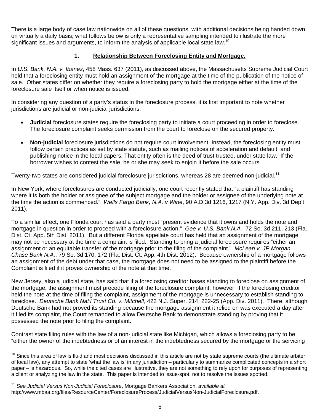There is a large body of case law nationwide on all of these questions, with additional decisions being handed down on virtually a daily basis; what follows below is only a representative sampling intended to illustrate the more significant issues and arguments, to inform the analysis of applicable local state law.<sup>10</sup>

# **1. Relationship Between Foreclosing Entity and Mortgage.**

In *U.S. Bank, N.A. v. Ibanez*, 458 Mass. 637 (2011), as discussed above, the Massachusetts Supreme Judicial Court held that a foreclosing entity must hold an assignment of the mortgage at the time of the publication of the notice of sale. Other states differ on whether they require a foreclosing party to hold the mortgage either at the time of the foreclosure sale itself or when notice is issued.

In considering any question of a party's status in the foreclosure process, it is first important to note whether jurisdictions are judicial or non-judicial jurisdictions:

- **Judicial** foreclosure states require the foreclosing party to initiate a court proceeding in order to foreclose. The foreclosure complaint seeks permission from the court to foreclose on the secured property.
- **Non-judicial** foreclosure jurisdictions do not require court involvement. Instead, the foreclosing entity must follow certain practices as set by state statute, such as mailing notices of acceleration and default, and publishing notice in the local papers. That entity often is the deed of trust trustee, under state law. If the borrower wishes to contest the sale, he or she may seek to enjoin it before the sale occurs.

Twenty-two states are considered judicial foreclosure jurisdictions, whereas 28 are deemed non-judicial.<sup>11</sup>

In New York, where foreclosures are conducted judicially, one court recently stated that "a plaintiff has standing where it is both the holder or assignee of the subject mortgage and the holder or assignee of the underlying note at the time the action is commenced." *Wells Fargo Bank, N.A. v Wine*, 90 A.D.3d 1216, 1217 (N.Y. App. Div. 3d Dep't 2011).

To a similar effect, one Florida court has said a party must "present evidence that it owns and holds the note and mortgage in question in order to proceed with a foreclosure action." *Gee v. U.S. Bank N.A.*, 72 So. 3d 211, 213 (Fla. Dist. Ct. App. 5th Dist. 2011). But a different Florida appellate court has held that an assignment of the mortgage may not be necessary at the time a complaint is filed. Standing to bring a judicial foreclosure requires "either an assignment or an equitable transfer of the mortgage prior to the filing of the complaint." *McLean v. JP Morgan Chase Bank N.A.*, 79 So. 3d 170, 172 (Fla. Dist. Ct. App. 4th Dist. 2012). Because ownership of a mortgage follows an assignment of the debt under that case, the mortgage does not need to be assigned to the plaintiff before the Complaint is filed if it proves ownership of the note at that time.

New Jersey, also a judicial state, has said that if a foreclosing creditor bases standing to foreclose on assignment of the mortgage, the assignment must precede filing of the foreclosure complaint; however, if the foreclosing creditor held the note at the time of filing the complaint, assignment of the mortgage is unnecessary to establish standing to foreclose. *Deutsche Bank Nat'l Trust Co. v. Mitchell*, 422 N.J. Super. 214, 222-25 (App. Div. 2011). There, although Deutsche Bank had not proved its standing because the mortgage assignment it relied on was executed a day after it filed its complaint, the Court remanded to allow Deutsche Bank to demonstrate standing by proving that it possessed the note prior to filing the complaint.

Contrast state filing rules with the law of a non-judicial state like Michigan, which allows a foreclosing party to be "either the owner of the indebtedness or of an interest in the indebtedness secured by the mortgage or the servicing

 $\overline{a}$  $10$  Since this area of law is fluid and most decisions discussed in this article are not by state supreme courts (the ultimate arbiter of local law), any attempt to state 'what the law is' in any jurisdiction – particularly to summarize complicated concepts in a short paper – is hazardous. So, while the cited cases are illustrative, they are not something to rely upon for purposes of representing a client or analyzing the law in the state. This paper is intended to issue-spot, not to resolve the issues spotted.

<sup>11</sup> *See Judicial Versus Non-Judicial Foreclosure*, Mortgage Bankers Association, *available at*  http://www.mbaa.org/files/ResourceCenter/ForeclosureProcess/JudicialVersusNon-JudicialForeclosure.pdf.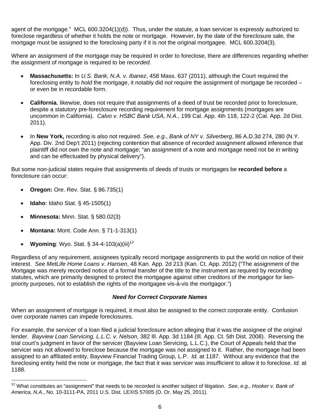agent of the mortgage." MCL 600.3204(1)(d)). Thus, under the statute, a loan servicer is expressly authorized to foreclose regardless of whether it holds the note or mortgage. However, by the date of the foreclosure sale, the mortgage must be assigned to the foreclosing party if it is not the original mortgagee. MCL 600.3204(3).

Where an assignment of the mortgage may be required in order to foreclose, there are differences regarding whether the assignment of mortgage is required to be *recorded*.

- **Massachusetts:** In *U.S. Bank, N.A. v. Ibanez*, 458 Mass. 637 (2011), although the Court required the foreclosing entity to *hold* the mortgage, it notably did *not* require the assignment of mortgage be recorded – or even be in recordable form.
- **California**, likewise, does not require that assignments of a deed of trust be recorded prior to foreclosure, despite a statutory pre-foreclosure recording requirement for mortgage assignments (mortgages are uncommon in California). *Calvo v. HSBC Bank USA, N.A.*, 199 Cal. App. 4th 118, 122-2 (Cal. App. 2d Dist. 2011).
- In **New York,** recording is also not required. *See, e.g.*, *Bank of NY v. Silverberg*, 86 A.D.3d 274, 280 (N.Y. App. Div. 2nd Dep't 2011) (rejecting contention that absence of recorded assignment allowed inference that plaintiff did not own the note and mortgage; "an assignment of a note and mortgage need not be in writing and can be effectuated by physical delivery").

But some non-judicial states require that assignments of deeds of trusts or mortgages be **recorded before** a foreclosure can occur:

- **Oregon:** Ore. Rev. Stat. § 86.735(1)
- **Idaho**: Idaho Stat. § 45-1505(1)

 $\overline{a}$ 

- **Minnesota:** Minn. Stat. § 580.02(3)
- **Montana:** Mont. Code Ann. § 71-1-313(1)
- **Wyoming: Wyo. Stat. § 34-4-103(a)(iii)<sup>12</sup>**

Regardless of any requirement, assignees typically record mortgage assignments to put the world on notice of their interest. *See MetLife Home Loans v. Hansen*, 48 Kan. App. 2d 213 (Kan. Ct. App. 2012) ("The assignment of the Mortgage was merely recorded notice of a formal transfer of the title to the instrument as required by recording statutes, which are primarily designed to protect the mortgagee against other creditors of the mortgagor for lienpriority purposes, not to establish the rights of the mortgagee vis-à-vis the mortgagor.")

#### *Need for Correct Corporate Names*

When an assignment of mortgage is required, it must also be assigned to the correct corporate entity. Confusion over corporate names can impede foreclosures.

For example, the servicer of a loan filed a judicial foreclosure action alleging that it was the assignee of the original lender. *Bayview Loan Servicing, L.L.C. v. Nelson*, 382 Ill. App. 3d 1184 (Ill. App. Ct. 5th Dist. 2008). Reversing the trial court's judgment in favor of the servicer (Bayview Loan Servicing, L.L.C.), the Court of Appeals held that the servicer was not allowed to foreclose because the mortgage was not assigned to it. Rather, the mortgage had been assigned to an affiliated entity, Bayview Financial Trading Group, L.P. *Id.* at 1187. Without any evidence that the foreclosing entity held the note or mortgage, the fact that it was servicer was insufficient to allow it to foreclose. *Id.* at 1188.

<sup>12</sup> What constitutes an "assignment" that needs to be recorded is another subject of litigation. *See*, *e.g*., *Hooker v. Bank of America, N.A.*, No. 10-3111-PA, 2011 U.S. Dist. LEXIS 57005 (D. Or. May 25, 2011).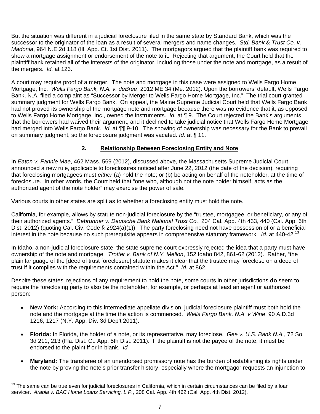But the situation was different in a judicial foreclosure filed in the same state by Standard Bank, which was the successor to the originator of the loan as a result of several mergers and name changes. *Std. Bank & Trust Co. v. Madonia*, 964 N.E.2d 118 (Ill. App. Ct. 1st Dist. 2011). The mortgagors argued that the plaintiff bank was required to show a mortgage assignment or endorsement of the note to it. Rejecting that argument, the Court held that the plaintiff bank retained all of the interests of the originator, including those under the note and mortgage, as a result of the mergers. *Id.* at 123.

A court may require proof of a merger. The note and mortgage in this case were assigned to Wells Fargo Home Mortgage, Inc. *Wells Fargo Bank, N.A. v. deBree*, 2012 ME 34 (Me. 2012). Upon the borrowers' default, Wells Fargo Bank, N.A. filed a complaint as "Successor by Merger to Wells Fargo Home Mortgage, Inc." The trial court granted summary judgment for Wells Fargo Bank. On appeal, the Maine Supreme Judicial Court held that Wells Fargo Bank had not proved its ownership of the mortgage note and mortgage because there was no evidence that it, as opposed to Wells Fargo Home Mortgage, Inc., owned the instruments. *Id.* at ¶ 9. The Court rejected the Bank's arguments that the borrowers had waived their argument, and it declined to take judicial notice that Wells Fargo Home Mortgage had merged into Wells Fargo Bank. *Id.* at ¶¶ 9-10. The showing of ownership was necessary for the Bank to prevail on summary judgment, so the foreclosure judgment was vacated. *Id.* at ¶ 11.

# **2. Relationship Between Foreclosing Entity and Note**

In *Eaton v. Fannie Mae*, 462 Mass. 569 (2012), discussed above, the Massachusetts Supreme Judicial Court announced a new rule, applicable to foreclosures noticed after June 22, 2012 (the date of the decision), requiring that foreclosing mortgagees must *either* (a) hold the note; or (b) be acting on behalf of the noteholder, at the time of foreclosure. In other words, the Court held that "one who, although not the note holder himself, acts as the authorized agent of the note holder" may exercise the power of sale.

Various courts in other states are split as to whether a foreclosing entity must hold the note.

California, for example, allows by statute non-judicial foreclosure by the "trustee, mortgagee, or beneficiary, or any of their authorized agents." *Debrunner v. Deutsche Bank National Trust Co.*, 204 Cal. App. 4th 433, 440 (Cal. App. 6th Dist. 2012) (quoting Cal. Civ. Code § 2924(a)(1)). The party foreclosing need not have possession of or a beneficial interest in the note because no such prerequisite appears in comprehensive statutory framework. *Id.* at 440-42.<sup>13</sup>

In Idaho, a non-judicial foreclosure state, the state supreme court expressly rejected the idea that a party must have ownership of the note and mortgage. *Trotter v. Bank of N.Y. Mellon*, 152 Idaho 842, 861-62 (2012). Rather, "the plain language of the [deed of trust foreclosure] statute makes it clear that the trustee may foreclose on a deed of trust if it complies with the requirements contained within the Act." *Id.* at 862.

Despite these states' rejections of any requirement to hold the note, some courts in other jurisdictions **do** seem to require the foreclosing party to also be the noteholder, for example, or perhaps at least an agent or authorized person:

- **New York:** According to this intermediate appellate division, judicial foreclosure plaintiff must both hold the note and the mortgage at the time the action is commenced. *Wells Fargo Bank, N.A. v Wine*, 90 A.D.3d 1216, 1217 (N.Y. App. Div. 3d Dep't 2011).
- **Florida:** In Florida, the holder of a note, or its representative, may foreclose. *Gee v. U.S. Bank N.A.*, 72 So. 3d 211, 213 (Fla. Dist. Ct. App. 5th Dist. 2011). If the plaintiff is not the payee of the note, it must be endorsed to the plaintiff or in blank. *Id.*
- **Maryland:** The transferee of an unendorsed promissory note has the burden of establishing its rights under the note by proving the note's prior transfer history, especially where the mortgagor requests an injunction to

The same can be true even for judicial foreclosures in California, which in certain circumstances can be filed by a loan servicer. *Arabia v. BAC Home Loans Servicing, L.P.*, 208 Cal. App. 4th 462 (Cal. App. 4th Dist. 2012).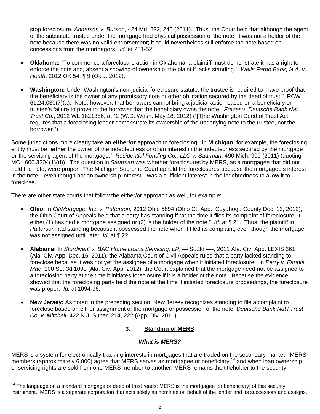stop foreclosure. *Anderson v. Burson*, 424 Md. 232, 245 (2011). Thus, the Court held that although the agent of the substitute trustee under the mortgage had physical possession of the note, it was not a holder of the note because there was no valid endorsement; it could nevertheless still enforce the note based on concessions from the mortgagors. *Id.* at 251-52.

- **Oklahoma:** "To commence a foreclosure action in Oklahoma, a plaintiff must demonstrate it has a right to enforce the note and, absent a showing of ownership, the plaintiff lacks standing." *Wells Fargo Bank, N.A. v. Heath*, 2012 OK 54, ¶ 9 (Okla. 2012).
- **Washington:** Under Washington's non-judicial foreclosure statute, the trustee is required to "have proof that the beneficiary is the owner of any promissory note or other obligation secured by the deed of trust." RCW 61.24.030(7)(a). Note, however, that borrowers cannot bring a judicial action based on a beneficiary or trustee's failure to prove to the borrower that the beneficiary owns the note. *Frazer v. Deutsche Bank Nat. Trust Co.*, 2012 WL 1821386, at \*2 (W.D. Wash. May 18, 2012) ("[T]he Washington Deed of Trust Act requires that a foreclosing lender demonstrate its ownership of the underlying note to the trustee, not the borrower.").

Some jurisdictions more clearly take an **either/or** approach to foreclosing. In **Michigan**, for example, the foreclosing entity must be "**either** the owner of the indebtedness or of an interest in the indebtedness secured by the mortgage **or** the servicing agent of the mortgage." *Residential Funding Co., LLC v. Saurman*, 490 Mich. 909 (2011) (quoting MCL 600.3204(1)(d)). The question in *Saurman* was whether foreclosures by MERS, as a mortgagee that did not hold the note, were proper. The Michigan Supreme Court upheld the foreclosures because the mortgagee's interest in the note—even though not an ownership interest—was a sufficient interest in the indebtedness to allow it to foreclose.

There are other state courts that follow the either/or approach as well, for example:

 $\overline{a}$ 

- **Ohio**: In *CitiMortgage, Inc. v. Patterson*, 2012 Ohio 5894 (Ohio Ct. App., Cuyahoga County Dec. 13, 2012), the Ohio Court of Appeals held that a party has standing if "at the time it files its complaint of foreclosure, it either (1) has had a mortgage assigned or (2) is the holder of the note." *Id.* at ¶ 21. Thus, the plaintiff in *Patterson* had standing because it possessed the note when it filed its complaint, even though the mortgage was not assigned until later. *Id.* at ¶ 22.
- **Alabama:** In *Sturdivant v. BAC Home Loans Servicing, LP*, --- So.3d ----, 2011 Ala. Civ. App. LEXIS 361 (Ala. Civ. App. Dec. 16, 2011), the Alabama Court of Civil Appeals ruled that a party lacked standing to foreclose because it was not yet the assignee of a mortgage when it initiated foreclosure. In *Perry v. Fannie Mae*, 100 So. 3d 1090 (Ala. Civ. App. 2012), the Court explained that the mortgage need not be assigned to a foreclosing party at the time it initiates foreclosure if it is a holder of the note. Because the evidence showed that the foreclosing party held the note at the time it initiated foreclosure proceedings, the foreclosure was proper. *Id.* at 1094-96.
- **New Jersey:** As noted in the preceding section, New Jersey recognizes standing to file a complaint to foreclose based on either assignment of the mortgage or possession of the note. *Deutsche Bank Nat'l Trust Co. v. Mitchell*, 422 N.J. Super. 214, 222 (App. Div. 2011).

## **3. Standing of MERS**

#### *What is MERS?*

MERS is a system for electronically tracking interests in mortgages that are traded on the secondary market. MERS members (approximately 6,000) agree that MERS serves as mortgagee or beneficiary,<sup>14</sup> and when loan ownership or servicing rights are sold from one MERS member to another, MERS remains the titleholder to the security

<sup>&</sup>lt;sup>14</sup> The language on a standard mortgage or deed of trust reads: MERS is the mortgagee [or beneficiary] of this security instrument. MERS is a separate corporation that acts solely as nominee on behalf of the lender and its successors and assigns.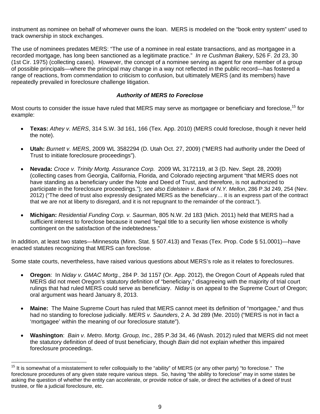instrument as nominee on behalf of whomever owns the loan. MERS is modeled on the "book entry system" used to track ownership in stock exchanges.

The use of nominees predates MERS: "The use of a nominee in real estate transactions, and as mortgagee in a recorded mortgage, has long been sanctioned as a legitimate practice." *In re Cushman Bakery*, 526 F. 2d 23, 30 (1st Cir. 1975) (collecting cases). However, the concept of a nominee serving as agent for one member of a group of possible principals—where the principal may change in a way not reflected in the public record—has fostered a range of reactions, from commendation to criticism to confusion, but ultimately MERS (and its members) have repeatedly prevailed in foreclosure challenge litigation.

#### *Authority of MERS to Foreclose*

Most courts to consider the issue have ruled that MERS may serve as mortgagee or beneficiary and foreclose,<sup>15</sup> for example:

- **Texas:** *Athey v. MERS*, 314 S.W. 3d 161, 166 (Tex. App. 2010) (MERS could foreclose, though it never held the note).
- **Utah:** *Burnett v. MERS*, 2009 WL 3582294 (D. Utah Oct. 27, 2009) ("MERS had authority under the Deed of Trust to initiate foreclosure proceedings").
- **Nevada:** *Croce v. Trinity Mortg. Assurance Corp.* 2009 WL 3172119, at 3 (D. Nev. Sept. 28, 2009) (collecting cases from Georgia, California, Florida, and Colorado rejecting argument "that MERS does not have standing as a beneficiary under the Note and Deed of Trust, and therefore, is not authorized to participate in the foreclosure proceedings."); *see also Edelstein v. Bank of N.Y. Mellon*, 286 P.3d 249, 254 (Nev. 2012) ("The deed of trust also expressly designated MERS as the beneficiary… it is an express part of the contract that we are not at liberty to disregard, and it is not repugnant to the remainder of the contract.").
- **Michigan:** *Residential Funding Corp. v. Saurman*, 805 N.W. 2d 183 (Mich. 2011) held that MERS had a sufficient interest to foreclose because it owned "legal title to a security lien whose existence is wholly contingent on the satisfaction of the indebtedness."

In addition, at least two states—Minnesota (Minn. Stat. § 507.413) and Texas (Tex. Prop. Code § 51.0001)—have enacted statutes recognizing that MERS can foreclose.

Some state courts, nevertheless, have raised various questions about MERS's role as it relates to foreclosures.

- **Oregon**: In *Niday v. GMAC Mortg.*, 284 P. 3d 1157 (Or. App. 2012), the Oregon Court of Appeals ruled that MERS did not meet Oregon's statutory definition of "beneficiary," disagreeing with the majority of trial court rulings that had ruled MERS could serve as beneficiary. *Niday* is on appeal to the Supreme Court of Oregon; oral argument was heard January 8, 2013.
- **Maine:** The Maine Supreme Court has ruled that MERS cannot meet its definition of "mortgagee," and thus had no standing to foreclose judicially. *MERS v. Saunders*, 2 A. 3d 289 (Me. 2010) ("MERS is not in fact a 'mortgagee' within the meaning of our foreclosure statute").
- **Washington**: *Bain v. Metro. Mortg. Group, Inc.,* 285 P.3d 34, 46 (Wash. 2012) ruled that MERS did not meet the statutory definition of deed of trust beneficiary, though *Bain* did not explain whether this impaired foreclosure proceedings.

<sup>&</sup>lt;sup>15</sup> It is somewhat of a misstatement to refer colloquially to the "ability" of MERS (or any other party) "to foreclose." The foreclosure procedures of any given state require various steps. So, having "the ability to foreclose" may in some states be asking the question of whether the entity can accelerate, or provide notice of sale, or direct the activities of a deed of trust trustee, or file a judicial foreclosure, etc.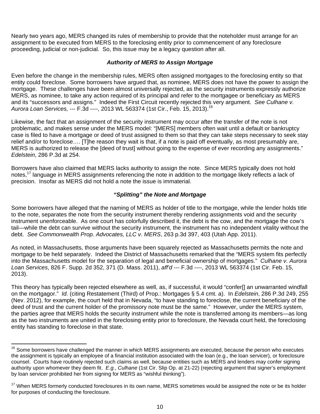Nearly two years ago, MERS changed its rules of membership to provide that the noteholder must arrange for an assignment to be executed from MERS to the foreclosing entity prior to commencement of any foreclosure proceeding, judicial or non-judicial. So, this issue may be a legacy question after all.

#### *Authority of MERS to Assign Mortgage*

Even before the change in the membership rules, MERS often assigned mortgages to the foreclosing entity so that entity could foreclose. Some borrowers have argued that, as nominee, MERS does not have the power to assign the mortgage. These challenges have been almost universally rejected, as the security instruments expressly authorize MERS, as nominee, to take any action required of its principal and refer to the mortgagee or beneficiary as MERS and its "successors and assigns." Indeed the First Circuit recently rejected this very argument. *See Culhane v. Aurora Loan Services,* --- F.3d ----, 2013 WL 563374 (1st Cir., Feb. 15, 2013).<sup>16</sup>

Likewise, the fact that an assignment of the security instrument may occur after the transfer of the note is not problematic, and makes sense under the MERS model: "[MERS] members often wait until a default or bankruptcy case is filed to have a mortgage or deed of trust assigned to them so that they can take steps necessary to seek stay relief and/or to foreclose…. [T]he reason they wait is that, if a note is paid off eventually, as most presumably are, MERS is authorized to release the [deed of trust] without going to the expense of ever recording any assignments." *Edelstein*, 286 P.3d at 254.

Borrowers have also claimed that MERS lacks authority to assign the note. Since MERS typically does not hold notes,<sup>17</sup> language in MERS assignments referencing the note in addition to the mortgage likely reflects a lack of precision. Insofar as MERS did not hold a note the issue is immaterial.

#### *"Splitting" the Note and Mortgage*

Some borrowers have alleged that the naming of MERS as holder of title to the mortgage, while the lender holds title to the note, separates the note from the security instrument thereby rendering assignments void and the security instrument unenforceable. As one court has colorfully described it, the debt is the cow, and the mortgage the cow's tail—while the debt can survive without the security instrument, the instrument has no independent vitality without the debt. *See Commonwealth Prop. Advocates, LLC v. MERS*, 263 p.3d 397, 403 (Utah App. 2011).

As noted, in Massachusetts, those arguments have been squarely rejected as Massachusetts permits the note and mortgage to be held separately. Indeed the District of Massachusetts remarked that the "MERS system fits perfectly into the Massachusetts model for the separation of legal and beneficial ownership of mortgages." *Culhane v. Aurora Loan Services*, 826 F. Supp. 2d 352, 371 (D. Mass. 2011), *aff'd* --- F.3d ----, 2013 WL 563374 (1st Cir. Feb. 15, 2013).

This theory has typically been rejected elsewhere as well, as, if successful, it would "confer[] an unwarranted windfall on the mortgagor." *Id.* (citing Restatement (Third) of Prop.: Mortgages § 5.4 cmt. a). In *Edelstein*, 286 P.3d 249, 255 (Nev. 2012), for example, the court held that in Nevada, "to have standing to foreclose, the current beneficiary of the deed of trust and the current holder of the promissory note must be the same." However, under the MERS system, the parties agree that MERS holds the security instrument while the note is transferred among its members—as long as the two instruments are united in the foreclosing entity prior to foreclosure, the Nevada court held, the foreclosing entity has standing to foreclose in that state.

 $16$  Some borrowers have challenged the manner in which MERS assignments are executed, because the person who executes the assignment is typically an employee of a financial institution associated with the loan (e.g., the loan servicer), or foreclosure counsel. Courts have routinely rejected such claims as well, because entities such as MERS and lenders may confer signing authority upon whomever they deem fit. *E.g.*, *Culhane* (1st Cir. Slip Op. at 21-22) (rejecting argument that signer's employment by loan servicer prohibited her from signing for MERS as "wishful thinking").

<sup>&</sup>lt;sup>17</sup> When MERS formerly conducted foreclosures in its own name, MERS sometimes would be assigned the note or be its holder for purposes of conducting the foreclosure.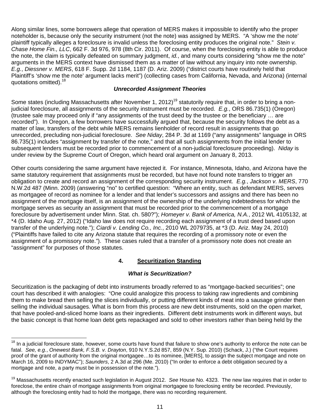Along similar lines, some borrowers allege that operation of MERS makes it impossible to identify who the proper noteholder is, because only the security instrument (not the note) was assigned by MERS. "A 'show me the note' plaintiff typically alleges a foreclosure is invalid unless the foreclosing entity produces the original note." *Stein v. Chase Home Fin., LLC*, 662 F. 3d 976, 978 (8th Cir. 2011). Of course, when the foreclosing entity is able to produce the note, the claim is typically defeated on summary judgment, *id.*, and many courts considering "show me the note" arguments in the MERS context have dismissed them as a matter of law without any inquiry into note ownership. *E.g.*, *Diessner v. MERS*, 618 F. Supp. 2d 1184, 1187 (D. Ariz. 2009) ("district courts have routinely held that Plaintiff's 'show me the note' argument lacks merit") (collecting cases from California, Nevada, and Arizona) (internal quotations omitted).<sup>18</sup>

#### *Unrecorded Assignment Theories*

Some states (including Massachusetts after November 1, 2012)<sup>19</sup> statutorily require that, in order to bring a nonjudicial foreclosure, all assignments of the security instrument must be recorded. *E.g.*, ORS 86.735(1) (Oregon) (trustee sale may proceed only if "any assignments of the trust deed by the trustee or the beneficiary … are recorded"). In Oregon, a few borrowers have successfully argued that, because the security follows the debt as a matter of law, transfers of the debt while MERS remains lienholder of record result in assignments that go unrecorded, precluding non-judicial foreclosure. *See Niday*, 284 P. 3d at 1169 ("any assignments" language in ORS 86.735(1) includes "assignment by transfer of the note," and that all such assignments from the initial lender to subsequent lenders must be recorded prior to commencement of a non-judicial foreclosure proceeding). *Niday* is under review by the Supreme Court of Oregon, which heard oral argument on January 8, 2013.

Other courts considering the same argument have rejected it. For instance, Minnesota, Idaho, and Arizona have the same statutory requirement that assignments must be recorded, but have not found note transfers to trigger an obligation to create and record an assignment of the corresponding security instrument. *E.g.*, *Jackson v. MERS*, 770 N.W.2d 487 (Minn. 2009) (answering "no" to certified question: "Where an entity, such as defendant MERS, serves as mortgagee of record as nominee for a lender and that lender's successors and assigns and there has been no assignment of the mortgage itself, is an assignment of the ownership of the underlying indebtedness for which the mortgage serves as security an assignment that must be recorded prior to the commencement of a mortgage foreclosure by advertisement under Minn. Stat. ch. 580?"); *Homeyer v. Bank of America, N.A.*, 2012 WL 4105132, at \*4 (D. Idaho Aug. 27, 2012) ("Idaho law does not require recording each assignment of a trust deed based upon transfer of the underlying note."); *Ciardi v. Lending Co., Inc.*, 2010 WL 2079735, at \*3 (D. Ariz. May 24, 2010) ("Plaintiffs have failed to cite any Arizona statute that requires the recording of a promissory note or even the assignment of a promissory note."). These cases ruled that a transfer of a promissory note does not create an "assignment" for purposes of those statutes.

## **4. Securitization Standing**

#### *What is Securitization?*

Securitization is the packaging of debt into instruments broadly referred to as "mortgage-backed securities"; one court has described it with analogies: "One could analogize this process to taking raw ingredients and combining them to make bread then selling the slices individually, or putting different kinds of meat into a sausage grinder then selling the individual sausages. What is born from this process are new debt instruments, sold on the open market, that have pooled-and-sliced home loans as their ingredients. Different debt instruments work in different ways, but the basic concept is that home loan debt gets repackaged and sold to other investors rather than being held by the

<sup>&</sup>lt;sup>18</sup> In a judicial foreclosure state, however, some courts have found that failure to show one's authority to enforce the note can be fatal. *See, e.g.*, *Onewest Bank, F.S.B. v. Drayton*, 910 N.Y.S.2d 857, 859 (N.Y. Sup. 2010) (Schack, J.) ("the Court requires proof of the grant of authority from the original mortgagee…to its nominee, [MERS], to assign the subject mortgage and note on March 16, 2009 to INDYMAC"); *Saunders*, 2 A.3d at 296 (Me. 2010) ("In order to enforce a debt obligation secured by a mortgage and note, a party must be in possession of the note.").

<sup>19</sup> Massachusetts recently enacted such legislation in August 2012. *See* House No. 4323. The new law requires that in order to foreclose, the entire chain of mortgage assignments from original mortgagee to foreclosing entity be recorded. Previously, although the foreclosing entity had to hold the mortgage, there was no recording requirement.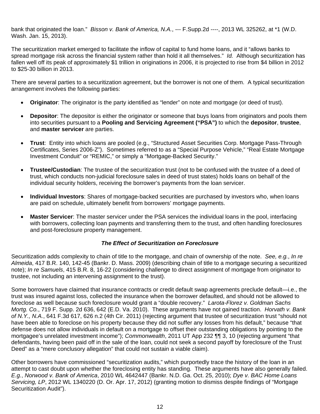bank that originated the loan." *Bisson v. Bank of America, N.A.*, --- F.Supp.2d ----, 2013 WL 325262, at \*1 (W.D. Wash. Jan. 15, 2013).

The securitization market emerged to facilitate the inflow of capital to fund home loans, and it "allows banks to spread mortgage risk across the financial system rather than hold it all themselves." *Id.* Although securitization has fallen well off its peak of approximately \$1 trillion in originations in 2006, it is projected to rise from \$4 billion in 2012 to \$25-30 billion in 2013.

There are several parties to a securitization agreement, but the borrower is not one of them. A typical securitization arrangement involves the following parties:

- **Originator**: The originator is the party identified as "lender" on note and mortgage (or deed of trust).
- **Depositor**: The depositor is either the originator or someone that buys loans from originators and pools them into securities pursuant to a **Pooling and Servicing Agreement ("PSA")** to which the **depositor**, **trustee**, and **master servicer** are parties.
- **Trust**: Entity into which loans are pooled (e.g., "Structured Asset Securities Corp. Mortgage Pass-Through Certificates, Series 2006-Z"). Sometimes referred to as a "Special Purpose Vehicle," "Real Estate Mortgage Investment Conduit" or "REMIC," or simply a "Mortgage-Backed Security."
- **Trustee/Custodian**: The trustee of the securitization trust (not to be confused with the trustee of a deed of trust, which conducts non-judicial foreclosure sales in deed of trust states) holds loans on behalf of the individual security holders, receiving the borrower's payments from the loan servicer.
- **Individual Investors**: Shares of mortgage-backed securities are purchased by investors who, when loans are paid on schedule, ultimately benefit from borrowers' mortgage payments.
- **Master Servicer**: The master servicer under the PSA services the individual loans in the pool, interfacing with borrowers, collecting loan payments and transferring them to the trust, and often handling foreclosures and post-foreclosure property management.

#### *The Effect of Securitization on Foreclosure*

Securitization adds complexity to chain of title to the mortgage, and chain of ownership of the note. *See, e.g.*, *In re Almeida*, 417 B.R. 140, 142-45 (Bankr. D. Mass. 2009) (describing chain of title to a mortgage securing a securitized note); *In re Samuels*, 415 B.R. 8, 16-22 (considering challenge to direct assignment of mortgage from originator to trustee, not including an intervening assignment to the trust).

Some borrowers have claimed that insurance contracts or credit default swap agreements preclude default—i.e., the trust was insured against loss, collected the insurance when the borrower defaulted, and should not be allowed to foreclose as well because such foreclosure would grant a "double recovery." *Larota-Florez v. Goldman Sachs Mortg. Co.*, 719 F. Supp. 2d 636, 642 (E.D. Va. 2010). These arguments have not gained traction. *Horvath v. Bank of N.Y., N.A.*, 641 F.3d 617, 626 n.2 (4th Cir. 2011) (rejecting argument that trustee of securitization trust "should not have been able to foreclose on his property because they did not suffer any losses from his default," because "that defense does not allow individuals in default on a mortgage to offset their outstanding obligations by pointing to the mortgagee's unrelated investment income"); *Commonwealth*, 2011 UT App 232 ¶¶ 3, 10 (rejecting argument "that defendants, having been paid off in the sale of the loan, could not seek a second payoff by foreclosure of the Trust Deed" as a "mere conclusory allegation" that could not sustain a viable claim).

Other borrowers have commissioned "securitization audits," which purportedly trace the history of the loan in an attempt to cast doubt upon whether the foreclosing entity has standing. These arguments have also generally failed. *E.g.*, *Norwood v. Bank of America*, 2010 WL 4642447 (Bankr. N.D. Ga. Oct. 25, 2010); *Dye v. BAC Home Loans Servicing, LP*, 2012 WL 1340220 (D. Or. Apr. 17, 2012) (granting motion to dismiss despite findings of "Mortgage Securitization Audit").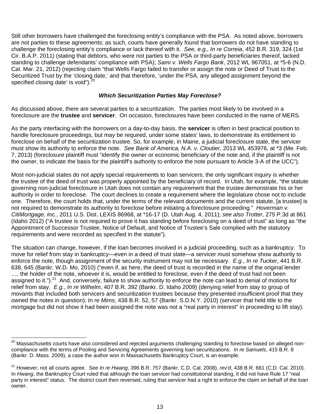Still other borrowers have challenged the foreclosing entity's compliance with the PSA. As noted above, borrowers are not parties to these agreements; as such, courts have generally found that borrowers do not have standing to challenge the foreclosing entity's compliance or lack thereof with it. *See, e.g., In re Correia*, 452 B.R. 319, 324 (1st Cir. B.A.P. 2011) (stating that debtors, who were not parties to the PSA or third-party beneficiaries thereof, lacked standing to challenge defendants' compliance with PSA); *Sami v. Wells Fargo Bank*, 2012 WL 967051, at \*5-6 (N.D. Cal. Mar. 21, 2012) (rejecting claim "that Wells Fargo failed to transfer or assign the note or Deed of Trust to the Securitized Trust by the 'closing date,' and that therefore, 'under the PSA, any alleged assignment beyond the specified closing date' is void"). $20$ 

#### *Which Securitization Parties May Foreclose?*

As discussed above, there are several parties to a securitization. The parties most likely to be involved in a foreclosure are the **trustee** and **servicer**. On occasion, foreclosures have been conducted in the name of MERS.

As the party interfacing with the borrowers on a day-to-day basis, the **servicer** is often in best practical position to handle foreclosure proceedings, but may be required, under some states' laws, to demonstrate its entitlement to foreclose on behalf of the securitization trustee. So, for example, in Maine, a judicial foreclosure state, the servicer must show its authority to enforce the note. *See Bank of America, N.A. v. Cloutier*, 2013 WL 453976, at \*3 (Me. Feb. 7, 2013) (foreclosure plaintiff must "identify the owner or economic beneficiary of the note and, if the plaintiff is not the owner, to indicate the basis for the plaintiff's authority to enforce the note pursuant to Article 3-A of the UCC").

Most non-judicial states do not apply special requirements to loan servicers; the only significant inquiry is whether the trustee of the deed of trust was properly appointed by the beneficiary of record. In Utah, for example, "the statute governing non-judicial foreclosure in Utah does not contain any requirement that the trustee demonstrate his or her authority in order to foreclose. The court declines to create a requirement where the legislature chose not to include one. Therefore, the court holds that, under the terms of the relevant documents and the current statute, [a trustee] is not required to demonstrate its authority to foreclose before initiating a foreclosure proceeding." *Hoverman v. CitiMortgage, Inc.*, 2011 U.S. Dist. LEXIS 86968, at \*16-17 (D. Utah Aug. 4, 2011); *see also Trotter*, 275 P.3d at 861 (Idaho 2012) ("A trustee is not required to prove it has standing before foreclosing on a deed of trust" as long as "the Appointment of Successor Trustee, Notice of Default, and Notice of Trustee's Sale complied with the statutory requirements and were recorded as specified in the statute").

The situation can change, however, if the loan becomes involved in a judicial proceeding, such as a bankruptcy. To move for relief from stay in bankruptcy—even in a deed of trust state—a servicer must somehow show authority to enforce the note, though assignment of the security instrument may not be necessary. *E.g.*, *In re Tucker*, 441 B.R. 638, 645 (Bankr. W.D. Mo. 2010) ("even if, as here, the deed of trust is recorded in the name of the original lender …, the holder of the note, whoever it is, would be entitled to foreclose, even if the deed of trust had not been assigned to it.").<sup>21</sup> And, conversely, failure to show authority to enforce the note can lead to denial of motions for relief from stay. *E.g.*, *In re Wilhelm*, 407 B.R. 392 (Bankr. D. Idaho 2009) (denying relief from stay to group of movants that included both servicers and securitization trustees because they presented insufficient proof that they owned the notes in question); *In re Mims*, 438 B.R. 52, 57 (Bankr. S.D.N.Y. 2010) (servicer that held title to the mortgage but did not show it had been assigned the note was not a "real party in interest" in proceeding to lift stay).

 $^{20}$  Massachusetts courts have also considered and rejected arguments challenging standing to foreclose based on alleged noncompliance with the terms of Pooling and Servicing Agreements governing loan securitizations. *In re Samuels*, 415 B.R. 8 (Bankr. D. Mass. 2009), a case the author won in Massachusetts Bankruptcy Court, is an example.

<sup>21</sup> However, not all courts agree. *See In re Hwang*, 396 B.R. 757 (Bankr. C.D. Cal. 2008), *rev'd*, 438 B.R. 661 (C.D. Cal. 2010). In *Hwang*, the Bankruptcy Court ruled that although the loan servicer had constitutional standing, it did not have Rule 17 "real party in interest" status. The district court then reversed, ruling that servicer had a right to enforce the claim on behalf of the loan owner.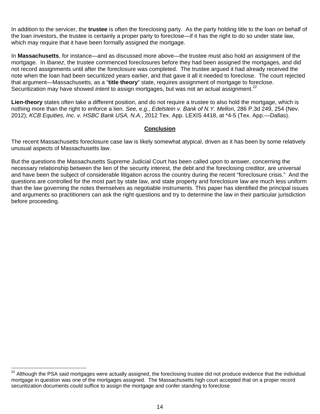In addition to the servicer, the **trustee** is often the foreclosing party. As the party holding title to the loan on behalf of the loan investors, the trustee is certainly a proper party to foreclose—if it has the right to do so under state law, which may require that it have been formally assigned the mortgage.

In **Massachusetts**, for instance—and as discussed more above—the trustee must also hold an assignment of the mortgage. In *Ibanez*, the trustee commenced foreclosures before they had been assigned the mortgages, and did not record assignments until after the foreclosure was completed. The trustee argued it had already received the note when the loan had been securitized years earlier, and that gave it all it needed to foreclose. The court rejected that argument—Massachusetts, as a "**title theory**" state, requires assignment of mortgage to foreclose. Securitization may have showed *intent* to assign mortgages, but was not an actual assignment.<sup>22</sup>

**Lien-theory** states often take a different position, and do not require a trustee to also hold the mortgage, which is nothing more than the right to enforce a lien. *See, e.g.*, *Edelstein v. Bank of N.Y. Mellon*, 286 P.3d 249, 254 (Nev. 2012); *KCB Equities, Inc. v. HSBC Bank USA, N.A.*, 2012 Tex. App. LEXIS 4418, at \*4-5 (Tex. App.—Dallas).

#### **Conclusion**

The recent Massachusetts foreclosure case law is likely somewhat atypical, driven as it has been by some relatively unusual aspects of Massachusetts law.

But the questions the Massachusetts Supreme Judicial Court has been called upon to answer, concerning the necessary relationship between the lien of the security interest, the debt and the foreclosing creditor, are universal and have been the subject of considerable litigation across the country during the recent "foreclosure crisis." And the questions are controlled for the most part by state law, and state property and foreclosure law are much less uniform than the law governing the notes themselves as negotiable instruments. This paper has identified the principal issues and arguments so practitioners can ask the right questions and try to determine the law in their particular jurisdiction before proceeding.

<sup>&</sup>lt;sup>22</sup> Although the PSA said mortgages were actually assigned, the foreclosing trustee did not produce evidence that the individual mortgage in question was one of the mortgages assigned. The Massachusetts high court accepted that on a proper record securitization documents could suffice to assign the mortgage and confer standing to foreclose.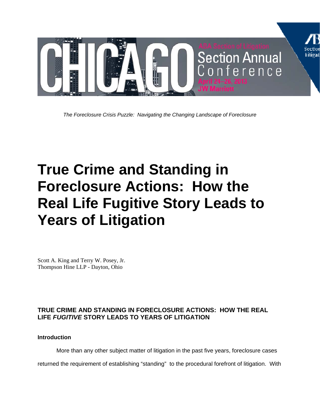

*The Foreclosure Crisis Puzzle: Navigating the Changing Landscape of Foreclosure* 

# **True Crime and Standing in Foreclosure Actions: How the Real Life Fugitive Story Leads to Years of Litigation**

Scott A. King and Terry W. Posey, Jr. Thompson Hine LLP - Dayton, Ohio

# **TRUE CRIME AND STANDING IN FORECLOSURE ACTIONS: HOW THE REAL LIFE** *FUGITIVE* **STORY LEADS TO YEARS OF LITIGATION**

**Introduction** 

More than any other subject matter of litigation in the past five years, foreclosure cases

returned the requirement of establishing "standing" to the procedural forefront of litigation. With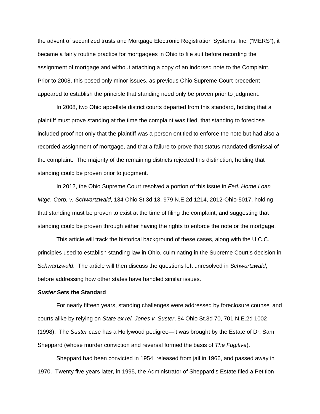the advent of securitized trusts and Mortgage Electronic Registration Systems, Inc. ("MERS"), it became a fairly routine practice for mortgagees in Ohio to file suit before recording the assignment of mortgage and without attaching a copy of an indorsed note to the Complaint. Prior to 2008, this posed only minor issues, as previous Ohio Supreme Court precedent appeared to establish the principle that standing need only be proven prior to judgment.

 In 2008, two Ohio appellate district courts departed from this standard, holding that a plaintiff must prove standing at the time the complaint was filed, that standing to foreclose included proof not only that the plaintiff was a person entitled to enforce the note but had also a recorded assignment of mortgage, and that a failure to prove that status mandated dismissal of the complaint. The majority of the remaining districts rejected this distinction, holding that standing could be proven prior to judgment.

 In 2012, the Ohio Supreme Court resolved a portion of this issue in *Fed. Home Loan Mtge. Corp. v. Schwartzwald*, 134 Ohio St.3d 13, 979 N.E.2d 1214, 2012-Ohio-5017, holding that standing must be proven to exist at the time of filing the complaint, and suggesting that standing could be proven through either having the rights to enforce the note or the mortgage.

 This article will track the historical background of these cases, along with the U.C.C. principles used to establish standing law in Ohio, culminating in the Supreme Court's decision in *Schwartzwald*. The article will then discuss the questions left unresolved in *Schwartzwald*, before addressing how other states have handled similar issues.

#### *Suster* **Sets the Standard**

For nearly fifteen years, standing challenges were addressed by foreclosure counsel and courts alike by relying on *State ex rel. Jones v. Suster*, 84 Ohio St.3d 70, 701 N.E.2d 1002 (1998). The *Suster* case has a Hollywood pedigree—it was brought by the Estate of Dr. Sam Sheppard (whose murder conviction and reversal formed the basis of *The Fugitive*).

 Sheppard had been convicted in 1954, released from jail in 1966, and passed away in 1970. Twenty five years later, in 1995, the Administrator of Sheppard's Estate filed a Petition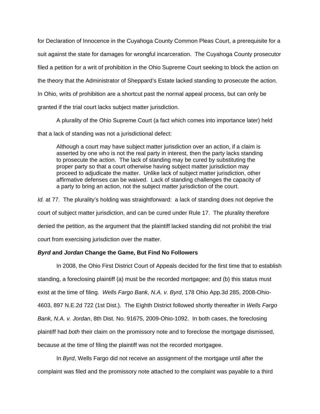for Declaration of Innocence in the Cuyahoga County Common Pleas Court, a prerequisite for a suit against the state for damages for wrongful incarceration. The Cuyahoga County prosecutor filed a petition for a writ of prohibition in the Ohio Supreme Court seeking to block the action on the theory that the Administrator of Sheppard's Estate lacked standing to prosecute the action. In Ohio, writs of prohibition are a shortcut past the normal appeal process, but can only be granted if the trial court lacks subject matter jurisdiction.

A plurality of the Ohio Supreme Court (a fact which comes into importance later) held

that a lack of standing was not a jurisdictional defect:

Although a court may have subject matter jurisdiction over an action, if a claim is asserted by one who is not the real party in interest, then the party lacks standing to prosecute the action. The lack of standing may be cured by substituting the proper party so that a court otherwise having subject matter jurisdiction may proceed to adjudicate the matter. Unlike lack of subject matter jurisdiction, other affirmative defenses can be waived. Lack of standing challenges the capacity of a party to bring an action, not the subject matter jurisdiction of the court.

*Id.* at 77. The plurality's holding was straightforward: a lack of standing does not deprive the court of subject matter jurisdiction, and can be cured under Rule 17. The plurality therefore denied the petition, as the argument that the plaintiff lacked standing did not prohibit the trial court from exercising jurisdiction over the matter.

## *Byrd* **and** *Jordan* **Change the Game, But Find No Followers**

In 2008, the Ohio First District Court of Appeals decided for the first time that to establish standing, a foreclosing plaintiff (a) must be the recorded mortgagee; and (b) this status must exist at the time of filing. *Wells Fargo Bank, N.A. v. Byrd*, 178 Ohio App.3d 285, 2008-Ohio-4603, 897 N.E.2d 722 (1st Dist.). The Eighth District followed shortly thereafter in *Wells Fargo Bank, N.A. v. Jordan*, 8th Dist. No. 91675, 2009-Ohio-1092. In both cases, the foreclosing plaintiff had *both* their claim on the promissory note and to foreclose the mortgage dismissed, because at the time of filing the plaintiff was not the recorded mortgagee.

 In *Byrd*, Wells Fargo did not receive an assignment of the mortgage until after the complaint was filed and the promissory note attached to the complaint was payable to a third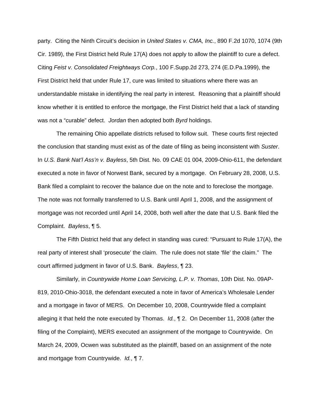party. Citing the Ninth Circuit's decision in *United States v. CMA, Inc.*, 890 F.2d 1070, 1074 (9th Cir. 1989), the First District held Rule 17(A) does not apply to allow the plaintiff to cure a defect. Citing *Feist v. Consolidated Freightways Corp.*, 100 F.Supp.2d 273, 274 (E.D.Pa.1999), the First District held that under Rule 17, cure was limited to situations where there was an understandable mistake in identifying the real party in interest. Reasoning that a plaintiff should know whether it is entitled to enforce the mortgage, the First District held that a lack of standing was not a "curable" defect. *Jordan* then adopted both *Byrd* holdings.

 The remaining Ohio appellate districts refused to follow suit. These courts first rejected the conclusion that standing must exist as of the date of filing as being inconsistent with *Suster*. In *U.S. Bank Nat'l Ass'n v. Bayless*, 5th Dist. No. 09 CAE 01 004, 2009-Ohio-611, the defendant executed a note in favor of Norwest Bank, secured by a mortgage. On February 28, 2008, U.S. Bank filed a complaint to recover the balance due on the note and to foreclose the mortgage. The note was not formally transferred to U.S. Bank until April 1, 2008, and the assignment of mortgage was not recorded until April 14, 2008, both well after the date that U.S. Bank filed the Complaint. *Bayless*, ¶ 5.

 The Fifth District held that any defect in standing was cured: "Pursuant to Rule 17(A), the real party of interest shall 'prosecute' the claim. The rule does not state 'file' the claim." The court affirmed judgment in favor of U.S. Bank. *Bayless*, ¶ 23.

 Similarly, in *Countrywide Home Loan Servicing, L.P. v. Thomas*, 10th Dist. No. 09AP-819, 2010-Ohio-3018, the defendant executed a note in favor of America's Wholesale Lender and a mortgage in favor of MERS. On December 10, 2008, Countrywide filed a complaint alleging it that held the note executed by Thomas. *Id.*, ¶ 2. On December 11, 2008 (after the filing of the Complaint), MERS executed an assignment of the mortgage to Countrywide. On March 24, 2009, Ocwen was substituted as the plaintiff, based on an assignment of the note and mortgage from Countrywide. *Id.*, ¶ 7.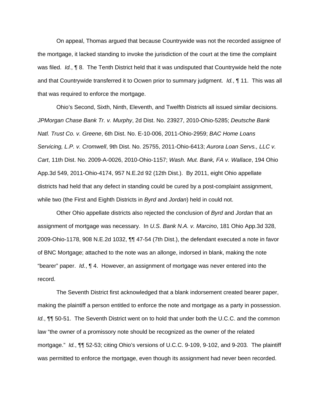On appeal, Thomas argued that because Countrywide was not the recorded assignee of the mortgage, it lacked standing to invoke the jurisdiction of the court at the time the complaint was filed. *Id.*, ¶ 8. The Tenth District held that it was undisputed that Countrywide held the note and that Countrywide transferred it to Ocwen prior to summary judgment. *Id.*, ¶ 11. This was all that was required to enforce the mortgage.

 Ohio's Second, Sixth, Ninth, Eleventh, and Twelfth Districts all issued similar decisions. *JPMorgan Chase Bank Tr. v. Murphy*, 2d Dist. No. 23927, 2010-Ohio-5285; *Deutsche Bank Natl. Trust Co. v. Greene*, 6th Dist. No. E-10-006, 2011-Ohio-2959; *BAC Home Loans Servicing, L.P. v. Cromwell*, 9th Dist. No. 25755, 2011-Ohio-6413; *Aurora Loan Servs., LLC v. Cart*, 11th Dist. No. 2009-A-0026, 2010-Ohio-1157; *Wash. Mut. Bank, FA v. Wallace*, 194 Ohio App.3d 549, 2011-Ohio-4174, 957 N.E.2d 92 (12th Dist.). By 2011, eight Ohio appellate districts had held that any defect in standing could be cured by a post-complaint assignment, while two (the First and Eighth Districts in *Byrd* and *Jordan*) held in could not.

Other Ohio appellate districts also rejected the conclusion of *Byrd* and *Jordan* that an assignment of mortgage was necessary. In *U.S. Bank N.A. v. Marcino*, 181 Ohio App.3d 328, 2009-Ohio-1178, 908 N.E.2d 1032, ¶¶ 47-54 (7th Dist.), the defendant executed a note in favor of BNC Mortgage; attached to the note was an allonge, indorsed in blank, making the note "bearer" paper. *Id.*, ¶ 4. However, an assignment of mortgage was never entered into the record.

 The Seventh District first acknowledged that a blank indorsement created bearer paper, making the plaintiff a person entitled to enforce the note and mortgage as a party in possession. *Id.*, ¶¶ 50-51. The Seventh District went on to hold that under both the U.C.C. and the common law "the owner of a promissory note should be recognized as the owner of the related mortgage." *Id.*, ¶¶ 52-53; citing Ohio's versions of U.C.C. 9-109, 9-102, and 9-203*.* The plaintiff was permitted to enforce the mortgage, even though its assignment had never been recorded.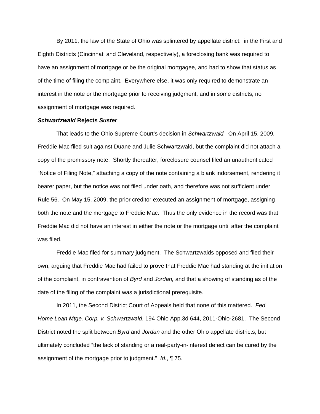By 2011, the law of the State of Ohio was splintered by appellate district: in the First and Eighth Districts (Cincinnati and Cleveland, respectively), a foreclosing bank was required to have an assignment of mortgage or be the original mortgagee, and had to show that status as of the time of filing the complaint. Everywhere else, it was only required to demonstrate an interest in the note or the mortgage prior to receiving judgment, and in some districts, no assignment of mortgage was required.

#### *Schwartzwald* **Rejects** *Suster*

That leads to the Ohio Supreme Court's decision in *Schwartzwald.* On April 15, 2009, Freddie Mac filed suit against Duane and Julie Schwartzwald, but the complaint did not attach a copy of the promissory note. Shortly thereafter, foreclosure counsel filed an unauthenticated "Notice of Filing Note," attaching a copy of the note containing a blank indorsement, rendering it bearer paper, but the notice was not filed under oath, and therefore was not sufficient under Rule 56. On May 15, 2009, the prior creditor executed an assignment of mortgage, assigning both the note and the mortgage to Freddie Mac. Thus the only evidence in the record was that Freddie Mac did not have an interest in either the note or the mortgage until after the complaint was filed.

Freddie Mac filed for summary judgment. The Schwartzwalds opposed and filed their own, arguing that Freddie Mac had failed to prove that Freddie Mac had standing at the initiation of the complaint, in contravention of *Byrd* and *Jordan,* and that a showing of standing as of the date of the filing of the complaint was a jurisdictional prerequisite.

In 2011, the Second District Court of Appeals held that none of this mattered. *Fed. Home Loan Mtge. Corp. v. Schwartzwald*, 194 Ohio App.3d 644, 2011-Ohio-2681. The Second District noted the split between *Byrd* and *Jordan* and the other Ohio appellate districts, but ultimately concluded "the lack of standing or a real-party-in-interest defect can be cured by the assignment of the mortgage prior to judgment." *Id.*, ¶ 75.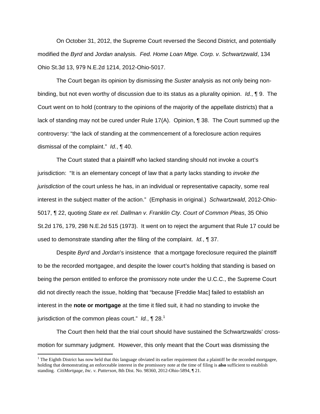On October 31, 2012, the Supreme Court reversed the Second District, and potentially modified the *Byrd* and *Jordan* analysis. *Fed. Home Loan Mtge. Corp. v. Schwartzwald*, 134 Ohio St.3d 13, 979 N.E.2d 1214, 2012-Ohio-5017.

The Court began its opinion by dismissing the *Suster* analysis as not only being nonbinding, but not even worthy of discussion due to its status as a plurality opinion. *Id.*, ¶ 9. The Court went on to hold (contrary to the opinions of the majority of the appellate districts) that a lack of standing may not be cured under Rule 17(A). Opinion, ¶ 38. The Court summed up the controversy: "the lack of standing at the commencement of a foreclosure action requires dismissal of the complaint." *Id.*, ¶ 40.

The Court stated that a plaintiff who lacked standing should not invoke a court's jurisdiction: "It is an elementary concept of law that a party lacks standing to *invoke the jurisdiction* of the court unless he has, in an individual or representative capacity, some real interest in the subject matter of the action." (Emphasis in original.) *Schwartzwald*, 2012-Ohio-5017, ¶ 22, quoting *State ex rel. Dallman v. Franklin Cty. Court of Common Pleas*, 35 Ohio St.2d 176, 179, 298 N.E.2d 515 (1973). It went on to reject the argument that Rule 17 could be used to demonstrate standing after the filing of the complaint. *Id.*, ¶ 37.

Despite *Byrd* and *Jordan*'s insistence that a mortgage foreclosure required the plaintiff to be the recorded mortgagee, and despite the lower court's holding that standing is based on being the person entitled to enforce the promissory note under the U.C.C., the Supreme Court did not directly reach the issue, holding that "because [Freddie Mac] failed to establish an interest in the **note or mortgage** at the time it filed suit, it had no standing to invoke the jurisdiction of the common pleas court." *Id.*, **1** 28.<sup>1</sup>

The Court then held that the trial court should have sustained the Schwartzwalds' crossmotion for summary judgment. However, this only meant that the Court was dismissing the

<sup>&</sup>lt;sup>1</sup> The Eighth District has now held that this language obviated its earlier requirement that a plaintiff be the recorded mortgagee, holding that demonstrating an enforceable interest in the promissory note at the time of filing is **also** sufficient to establish standing. *CitiMortgage, Inc. v. Patterson*, 8th Dist. No. 98360, 2012-Ohio-5894, ¶ 21.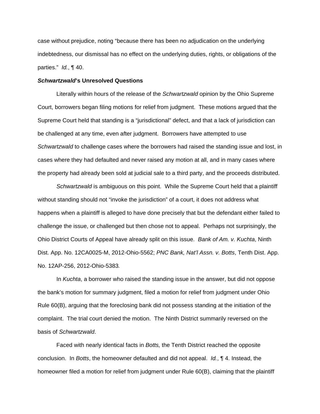case without prejudice, noting "because there has been no adjudication on the underlying indebtedness, our dismissal has no effect on the underlying duties, rights, or obligations of the parties." *Id.*, ¶ 40.

#### *Schwartzwald***'s Unresolved Questions**

 Literally within hours of the release of the *Schwartzwald* opinion by the Ohio Supreme Court, borrowers began filing motions for relief from judgment. These motions argued that the Supreme Court held that standing is a "jurisdictional" defect, and that a lack of jurisdiction can be challenged at any time, even after judgment. Borrowers have attempted to use *Schwartzwald* to challenge cases where the borrowers had raised the standing issue and lost, in cases where they had defaulted and never raised any motion at all, and in many cases where the property had already been sold at judicial sale to a third party, and the proceeds distributed.

*Schwartzwald* is ambiguous on this point. While the Supreme Court held that a plaintiff without standing should not "invoke the jurisdiction" of a court, it does not address what happens when a plaintiff is alleged to have done precisely that but the defendant either failed to challenge the issue, or challenged but then chose not to appeal. Perhaps not surprisingly, the Ohio District Courts of Appeal have already split on this issue. *Bank of Am. v. Kuchta*, Ninth Dist. App. No. 12CA0025-M, 2012-Ohio-5562; *PNC Bank, Nat'l Assn. v. Botts*, Tenth Dist. App. No. 12AP-256, 2012-Ohio-5383*.* 

 In *Kuchta*, a borrower who raised the standing issue in the answer, but did not oppose the bank's motion for summary judgment, filed a motion for relief from judgment under Ohio Rule 60(B), arguing that the foreclosing bank did not possess standing at the initiation of the complaint. The trial court denied the motion. The Ninth District summarily reversed on the basis of *Schwartzwald*.

Faced with nearly identical facts in *Botts,* the Tenth District reached the opposite conclusion. In *Botts*, the homeowner defaulted and did not appeal. *Id.*, ¶ 4. Instead, the homeowner filed a motion for relief from judgment under Rule 60(B), claiming that the plaintiff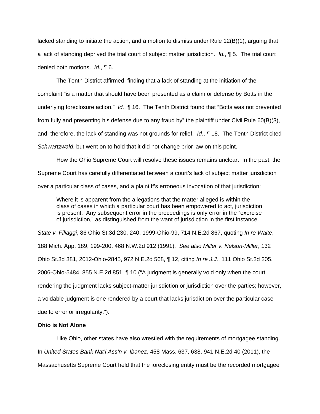lacked standing to initiate the action, and a motion to dismiss under Rule 12(B)(1), arguing that a lack of standing deprived the trial court of subject matter jurisdiction. *Id.*, ¶ 5. The trial court denied both motions. *Id.*, ¶ 6.

The Tenth District affirmed, finding that a lack of standing at the initiation of the complaint "is a matter that should have been presented as a claim or defense by Botts in the underlying foreclosure action." *Id.*, ¶ 16. The Tenth District found that "Botts was not prevented from fully and presenting his defense due to any fraud by" the plaintiff under Civil Rule 60(B)(3), and, therefore, the lack of standing was not grounds for relief. *Id.*, ¶ 18. The Tenth District cited *Schwartzwald*, but went on to hold that it did not change prior law on this point.

How the Ohio Supreme Court will resolve these issues remains unclear. In the past, the Supreme Court has carefully differentiated between a court's lack of subject matter jurisdiction over a particular class of cases, and a plaintiff's erroneous invocation of that jurisdiction:

Where it is apparent from the allegations that the matter alleged is within the class of cases in which a particular court has been empowered to act, jurisdiction is present. Any subsequent error in the proceedings is only error in the "exercise of jurisdiction," as distinguished from the want of jurisdiction in the first instance.

*State v. Filiaggi*, 86 Ohio St.3d 230, 240, 1999-Ohio-99, 714 N.E.2d 867, quoting *In re Waite*, 188 Mich. App. 189, 199-200, 468 N.W.2d 912 (1991). *See also Miller v. Nelson-Miller*, 132 Ohio St.3d 381, 2012-Ohio-2845, 972 N.E.2d 568, ¶ 12, citing *In re J.J.*, 111 Ohio St.3d 205, 2006-Ohio-5484, 855 N.E.2d 851, ¶ 10 ("A judgment is generally void only when the court rendering the judgment lacks subject-matter jurisdiction or jurisdiction over the parties; however, a voidable judgment is one rendered by a court that lacks jurisdiction over the particular case due to error or irregularity.").

#### **Ohio is Not Alone**

Like Ohio, other states have also wrestled with the requirements of mortgagee standing. In *United States Bank Nat'l Ass'n v. Ibanez*, 458 Mass. 637, 638, 941 N.E.2d 40 (2011), the Massachusetts Supreme Court held that the foreclosing entity must be the recorded mortgagee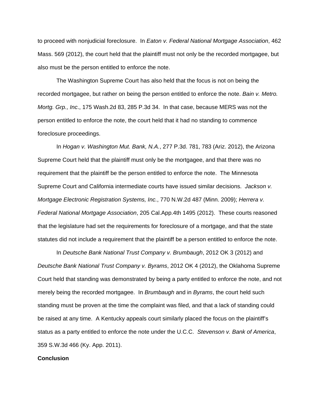to proceed with nonjudicial foreclosure. In *Eaton v. Federal National Mortgage Association*, 462 Mass. 569 (2012), the court held that the plaintiff must not only be the recorded mortgagee, but also must be the person entitled to enforce the note.

 The Washington Supreme Court has also held that the focus is not on being the recorded mortgagee, but rather on being the person entitled to enforce the note. *Bain v. Metro. Mortg. Grp., Inc*., 175 Wash.2d 83, 285 P.3d 34. In that case, because MERS was not the person entitled to enforce the note, the court held that it had no standing to commence foreclosure proceedings.

In *Hogan v. Washington Mut. Bank, N.A.*, 277 P.3d. 781, 783 (Ariz. 2012), the Arizona Supreme Court held that the plaintiff must only be the mortgagee, and that there was no requirement that the plaintiff be the person entitled to enforce the note. The Minnesota Supreme Court and California intermediate courts have issued similar decisions. *Jackson v. Mortgage Electronic Registration Systems, Inc.*, 770 N.W.2d 487 (Minn. 2009); *Herrera v. Federal National Mortgage Association*, 205 Cal.App.4th 1495 (2012). These courts reasoned that the legislature had set the requirements for foreclosure of a mortgage, and that the state statutes did not include a requirement that the plaintiff be a person entitled to enforce the note.

 In *Deutsche Bank National Trust Company v. Brumbaugh*, 2012 OK 3 (2012) and *Deutsche Bank National Trust Company v. Byrams*, 2012 OK 4 (2012), the Oklahoma Supreme Court held that standing was demonstrated by being a party entitled to enforce the note, and not merely being the recorded mortgagee. In *Brumbaugh* and in *Byrams*, the court held such standing must be proven at the time the complaint was filed, and that a lack of standing could be raised at any time. A Kentucky appeals court similarly placed the focus on the plaintiff's status as a party entitled to enforce the note under the U.C.C. *Stevenson v. Bank of America*, 359 S.W.3d 466 (Ky. App. 2011).

#### **Conclusion**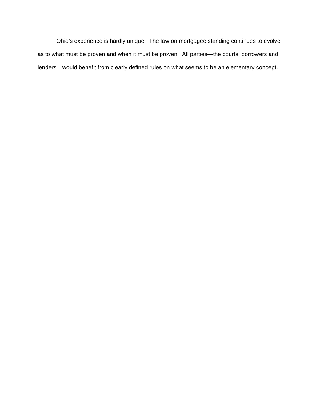Ohio's experience is hardly unique. The law on mortgagee standing continues to evolve as to what must be proven and when it must be proven. All parties—the courts, borrowers and lenders—would benefit from clearly defined rules on what seems to be an elementary concept.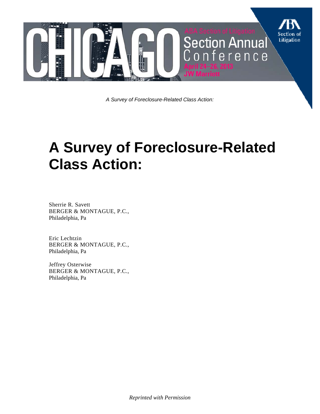

*A Survey of Foreclosure-Related Class Action:* 

# **A Survey of Foreclosure-Related Class Action:**

Sherrie R. Savett BERGER & MONTAGUE, P.C., Philadelphia, Pa

Eric Lechtzin BERGER & MONTAGUE, P.C., Philadelphia, Pa

Jeffrey Osterwise BERGER & MONTAGUE, P.C., Philadelphia, Pa

*Reprinted with Permission*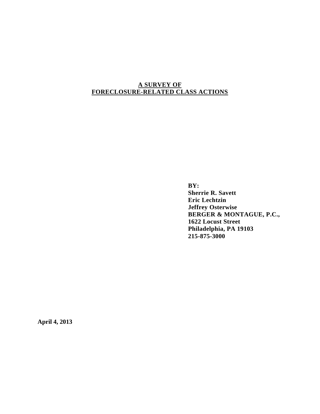# **A SURVEY OF FORECLOSURE-RELATED CLASS ACTIONS**

 **BY: Sherrie R. Savett Eric Lechtzin Jeffrey Osterwise BERGER & MONTAGUE, P.C., 1622 Locust Street Philadelphia, PA 19103 215-875-3000** 

**April 4, 2013**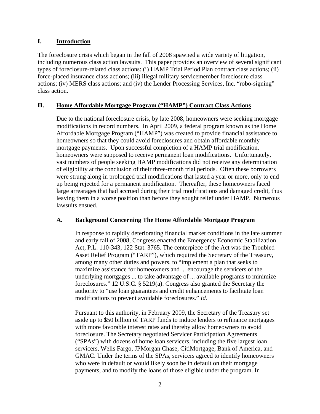# **I. Introduction**

The foreclosure crisis which began in the fall of 2008 spawned a wide variety of litigation, including numerous class action lawsuits. This paper provides an overview of several significant types of foreclosure-related class actions: (i) HAMP Trial Period Plan contract class actions; (ii) force-placed insurance class actions; (iii) illegal military servicemember foreclosure class actions; (iv) MERS class actions; and (iv) the Lender Processing Services, Inc. "robo-signing" class action.

# **II. Home Affordable Mortgage Program ("HAMP") Contract Class Actions**

Due to the national foreclosure crisis, by late 2008, homeowners were seeking mortgage modifications in record numbers. In April 2009, a federal program known as the Home Affordable Mortgage Program ("HAMP") was created to provide financial assistance to homeowners so that they could avoid foreclosures and obtain affordable monthly mortgage payments. Upon successful completion of a HAMP trial modification, homeowners were supposed to receive permanent loan modifications. Unfortunately, vast numbers of people seeking HAMP modifications did not receive any determination of eligibility at the conclusion of their three-month trial periods. Often these borrowers were strung along in prolonged trial modifications that lasted a year or more, only to end up being rejected for a permanent modification. Thereafter, these homeowners faced large arrearages that had accrued during their trial modifications and damaged credit, thus leaving them in a worse position than before they sought relief under HAMP. Numerous lawsuits ensued.

## **A. Background Concerning The Home Affordable Mortgage Program**

In response to rapidly deteriorating financial market conditions in the late summer and early fall of 2008, Congress enacted the Emergency Economic Stabilization Act, P.L. 110-343, 122 Stat. 3765. The centerpiece of the Act was the Troubled Asset Relief Program ("TARP"), which required the Secretary of the Treasury, among many other duties and powers, to "implement a plan that seeks to maximize assistance for homeowners and ... encourage the servicers of the underlying mortgages ... to take advantage of ... available programs to minimize foreclosures." 12 U.S.C. § 5219(a). Congress also granted the Secretary the authority to "use loan guarantees and credit enhancements to facilitate loan modifications to prevent avoidable foreclosures." *Id*.

Pursuant to this authority, in February 2009, the Secretary of the Treasury set aside up to \$50 billion of TARP funds to induce lenders to refinance mortgages with more favorable interest rates and thereby allow homeowners to avoid foreclosure. The Secretary negotiated Servicer Participation Agreements ("SPAs") with dozens of home loan servicers, including the five largest loan servicers, Wells Fargo, JPMorgan Chase, CitiMortgage, Bank of America, and GMAC. Under the terms of the SPAs, servicers agreed to identify homeowners who were in default or would likely soon be in default on their mortgage payments, and to modify the loans of those eligible under the program. In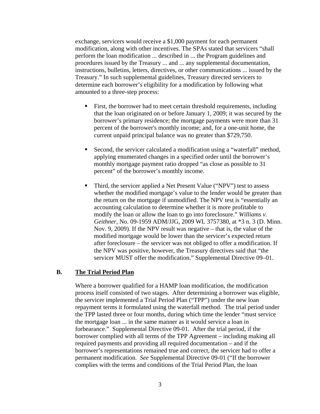exchange, servicers would receive a \$1,000 payment for each permanent modification, along with other incentives. The SPAs stated that servicers "shall perform the loan modification ... described in ... the Program guidelines and procedures issued by the Treasury ... and ... any supplemental documentation, instructions, bulletins, letters, directives, or other communications ... issued by the Treasury." In such supplemental guidelines, Treasury directed servicers to determine each borrower's eligibility for a modification by following what amounted to a three-step process:

- First, the borrower had to meet certain threshold requirements, including that the loan originated on or before January 1, 2009; it was secured by the borrower's primary residence; the mortgage payments were more than 31 percent of the borrower's monthly income; and, for a one-unit home, the current unpaid principal balance was no greater than \$729,750.
- Second, the servicer calculated a modification using a "waterfall" method, applying enumerated changes in a specified order until the borrower's monthly mortgage payment ratio dropped "as close as possible to 31 percent" of the borrower's monthly income.
- Third, the servicer applied a Net Present Value ("NPV") test to assess whether the modified mortgage's value to the lender would be greater than the return on the mortgage if unmodified. The NPV test is "essentially an accounting calculation to determine whether it is more profitable to modify the loan or allow the loan to go into foreclosure." *Williams v. Geithner*, No. 09-1959 ADM/JJG, 2009 WL 3757380, at \*3 n. 3 (D. Minn. Nov. 9, 2009). If the NPV result was negative – that is, the value of the modified mortgage would be lower than the servicer's expected return after foreclosure – the servicer was not obliged to offer a modification. If the NPV was positive, however, the Treasury directives said that "the servicer MUST offer the modification." Supplemental Directive 09–01.

#### **B. The Trial Period Plan**

Where a borrower qualified for a HAMP loan modification, the modification process itself consisted of two stages. After determining a borrower was eligible, the servicer implemented a Trial Period Plan ("TPP") under the new loan repayment terms it formulated using the waterfall method. The trial period under the TPP lasted three or four months, during which time the lender "must service the mortgage loan ... in the same manner as it would service a loan in forbearance." Supplemental Directive 09-01. After the trial period, if the borrower complied with all terms of the TPP Agreement – including making all required payments and providing all required documentation – and if the borrower's representations remained true and correct, the servicer had to offer a permanent modification. *See* Supplemental Directive 09-01 ("If the borrower complies with the terms and conditions of the Trial Period Plan, the loan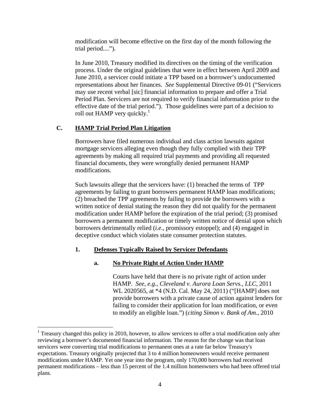modification will become effective on the first day of the month following the trial period....").

In June 2010, Treasury modified its directives on the timing of the verification process. Under the original guidelines that were in effect between April 2009 and June 2010, a servicer could initiate a TPP based on a borrower's undocumented representations about her finances. *See* Supplemental Directive 09-01 ("Servicers may use recent verbal [sic] financial information to prepare and offer a Trial Period Plan. Servicers are not required to verify financial information prior to the effective date of the trial period."). Those guidelines were part of a decision to roll out HAMP very quickly.<sup>1</sup>

## **C. HAMP Trial Period Plan Litigation**

1

Borrowers have filed numerous individual and class action lawsuits against mortgage servicers alleging even though they fully complied with their TPP agreements by making all required trial payments and providing all requested financial documents, they were wrongfully denied permanent HAMP modifications.

Such lawsuits allege that the servicers have: (1) breached the terms of TPP agreements by failing to grant borrowers permanent HAMP loan modifications; (2) breached the TPP agreements by failing to provide the borrowers with a written notice of denial stating the reason they did not qualify for the permanent modification under HAMP before the expiration of the trial period; (3) promised borrowers a permanent modification or timely written notice of denial upon which borrowers detrimentally relied (*i.e.*, promissory estoppel); and (4) engaged in deceptive conduct which violates state consumer protection statutes.

## **1. Defenses Typically Raised by Servicer Defendants**

## **a. No Private Right of Action Under HAMP**

Courts have held that there is no private right of action under HAMP. *See*, *e.g.*, *Cleveland v. Aurora Loan Servs., LLC*, 2011 WL 2020565, at \*4 (N.D. Cal. May 24, 2011) ("[HAMP] does not provide borrowers with a private cause of action against lenders for failing to consider their application for loan modification, or even to modify an eligible loan.") (*citing Simon v. Bank of Am.*, 2010

<sup>&</sup>lt;sup>1</sup> Treasury changed this policy in 2010, however, to allow servicers to offer a trial modification only after reviewing a borrower's documented financial information. The reason for the change was that loan servicers were converting trial modifications to permanent ones at a rate far below Treasury's expectations. Treasury originally projected that 3 to 4 million homeowners would receive permanent modifications under HAMP. Yet one year into the program, only 170,000 borrowers had received permanent modifications – less than 15 percent of the 1.4 million homeowners who had been offered trial plans.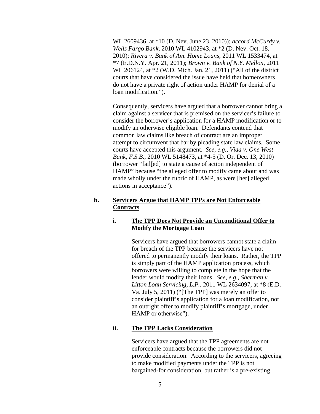WL 2609436, at \*10 (D. Nev. June 23, 2010)); *accord McCurdy v. Wells Fargo Bank*, 2010 WL 4102943, at \*2 (D. Nev. Oct. 18, 2010); *Rivera v. Bank of Am. Home Loans*, 2011 WL 1533474, at \*7 (E.D.N.Y. Apr. 21, 2011); *Brown v. Bank of N.Y. Mellon*, 2011 WL 206124, at \*2 (W.D. Mich. Jan. 21, 2011) ("All of the district courts that have considered the issue have held that homeowners do not have a private right of action under HAMP for denial of a loan modification.").

Consequently, servicers have argued that a borrower cannot bring a claim against a servicer that is premised on the servicer's failure to consider the borrower's application for a HAMP modification or to modify an otherwise eligible loan. Defendants contend that common law claims like breach of contract are an improper attempt to circumvent that bar by pleading state law claims. Some courts have accepted this argument. *See*, *e.g.*, *Vida v. One West Bank, F.S.B.*, 2010 WL 5148473, at \*4-5 (D. Or. Dec. 13, 2010) (borrower "fail[ed] to state a cause of action independent of HAMP" because "the alleged offer to modify came about and was made wholly under the rubric of HAMP, as were [her] alleged actions in acceptance").

#### **b. Servicers Argue that HAMP TPPs are Not Enforceable Contracts**

#### **i. The TPP Does Not Provide an Unconditional Offer to Modify the Mortgage Loan**

Servicers have argued that borrowers cannot state a claim for breach of the TPP because the servicers have not offered to permanently modify their loans. Rather, the TPP is simply part of the HAMP application process, which borrowers were willing to complete in the hope that the lender would modify their loans. *See*, *e.g.*, *Sherman v. Litton Loan Servicing, L.P.*, 2011 WL 2634097, at \*8 (E.D. Va. July 5, 2011) ("[The TPP] was merely an offer to consider plaintiff's application for a loan modification, not an outright offer to modify plaintiff's mortgage, under HAMP or otherwise").

#### **ii. The TPP Lacks Consideration**

Servicers have argued that the TPP agreements are not enforceable contracts because the borrowers did not provide consideration. According to the servicers, agreeing to make modified payments under the TPP is not bargained-for consideration, but rather is a pre-existing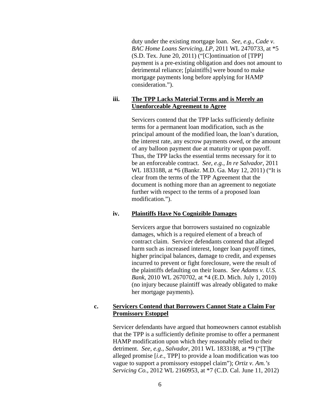duty under the existing mortgage loan. *See*, *e.g.*, *Cade v. BAC Home Loans Servicing, LP*, 2011 WL 2470733, at \*5 (S.D. Tex. June 20, 2011) ("[C]ontinuation of [TPP] payment is a pre-existing obligation and does not amount to detrimental reliance; [plaintiffs] were bound to make mortgage payments long before applying for HAMP consideration.").

#### **iii. The TPP Lacks Material Terms and is Merely an Unenforceable Agreement to Agree**

Servicers contend that the TPP lacks sufficiently definite terms for a permanent loan modification, such as the principal amount of the modified loan, the loan's duration, the interest rate, any escrow payments owed, or the amount of any balloon payment due at maturity or upon payoff. Thus, the TPP lacks the essential terms necessary for it to be an enforceable contract. *See*, *e.g.*, *In re Salvador*, 2011 WL 1833188, at \*6 (Bankr. M.D. Ga. May 12, 2011) ("It is clear from the terms of the TPP Agreement that the document is nothing more than an agreement to negotiate further with respect to the terms of a proposed loan modification.").

#### **iv. Plaintiffs Have No Cognizible Damages**

Servicers argue that borrowers sustained no cognizable damages, which is a required element of a breach of contract claim. Servicer defendants contend that alleged harm such as increased interest, longer loan payoff times, higher principal balances, damage to credit, and expenses incurred to prevent or fight foreclosure, were the result of the plaintiffs defaulting on their loans. *See Adams v. U.S. Bank*, 2010 WL 2670702, at \*4 (E.D. Mich. July 1, 2010) (no injury because plaintiff was already obligated to make her mortgage payments).

#### **c. Servicers Contend that Borrowers Cannot State a Claim For Promissory Estoppel**

Servicer defendants have argued that homeowners cannot establish that the TPP is a sufficiently definite promise to offer a permanent HAMP modification upon which they reasonably relied to their detriment. *See*, *e.g.*, *Salvador*, 2011 WL 1833188, at \*9 ("[T]he alleged promise [*i.e.*, TPP] to provide a loan modification was too vague to support a promissory estoppel claim"); *Ortiz v. Am.'s Servicing Co.*, 2012 WL 2160953, at \*7 (C.D. Cal. June 11, 2012)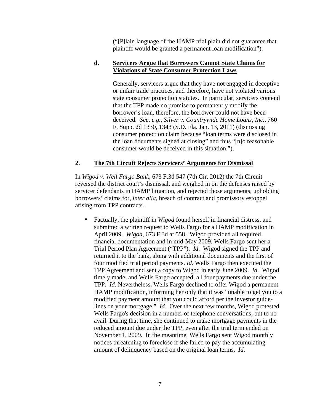("[P]lain language of the HAMP trial plain did not guarantee that plaintiff would be granted a permanent loan modification").

#### **d. Servicers Argue that Borrowers Cannot State Claims for Violations of State Consumer Protection Laws**

Generally, servicers argue that they have not engaged in deceptive or unfair trade practices, and therefore, have not violated various state consumer protection statutes. In particular, servicers contend that the TPP made no promise to permanently modify the borrower's loan, therefore, the borrower could not have been deceived. *See*, *e.g.*, *Silver v. Countrywide Home Loans, Inc.*, 760 F. Supp. 2d 1330, 1343 (S.D. Fla. Jan. 13, 2011) (dismissing consumer protection claim because "loan terms were disclosed in the loan documents signed at closing" and thus "[n]o reasonable consumer would be deceived in this situation.").

#### **2. The 7th Circuit Rejects Servicers' Arguments for Dismissal**

In *Wigod v. Well Fargo Bank*, 673 F.3d 547 (7th Cir. 2012) the 7th Circuit reversed the district court's dismissal, and weighed in on the defenses raised by servicer defendants in HAMP litigation, and rejected those arguments, upholding borrowers' claims for, *inter alia*, breach of contract and promissory estoppel arising from TPP contracts.

 Factually, the plaintiff in *Wigod* found herself in financial distress, and submitted a written request to Wells Fargo for a HAMP modification in April 2009. *Wigod*, 673 F.3d at 558. Wigod provided all required financial documentation and in mid-May 2009, Wells Fargo sent her a Trial Period Plan Agreement ("TPP"). *Id*. Wigod signed the TPP and returned it to the bank, along with additional documents and the first of four modified trial period payments. *Id*. Wells Fargo then executed the TPP Agreement and sent a copy to Wigod in early June 2009. *Id*. Wigod timely made, and Wells Fargo accepted, all four payments due under the TPP. *Id*. Nevertheless, Wells Fargo declined to offer Wigod a permanent HAMP modification, informing her only that it was "unable to get you to a modified payment amount that you could afford per the investor guidelines on your mortgage." *Id*. Over the next few months, Wigod protested Wells Fargo's decision in a number of telephone conversations, but to no avail. During that time, she continued to make mortgage payments in the reduced amount due under the TPP, even after the trial term ended on November 1, 2009. In the meantime, Wells Fargo sent Wigod monthly notices threatening to foreclose if she failed to pay the accumulating amount of delinquency based on the original loan terms. *Id*.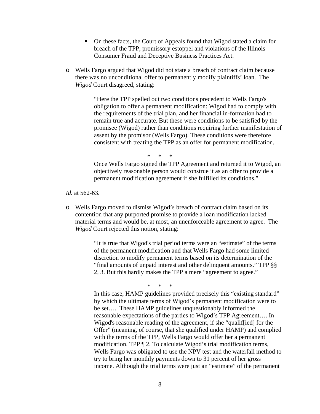- On these facts, the Court of Appeals found that Wigod stated a claim for breach of the TPP, promissory estoppel and violations of the Illinois Consumer Fraud and Deceptive Business Practices Act.
- o Wells Fargo argued that Wigod did not state a breach of contract claim because there was no unconditional offer to permanently modify plaintiffs' loan. The *Wigod* Court disagreed, stating:

"Here the TPP spelled out two conditions precedent to Wells Fargo's obligation to offer a permanent modification: Wigod had to comply with the requirements of the trial plan, and her financial in-formation had to remain true and accurate. But these were conditions to be satisfied by the promisee (Wigod) rather than conditions requiring further manifestation of assent by the promisor (Wells Fargo). These conditions were therefore consistent with treating the TPP as an offer for permanent modification.

\* \* \*

Once Wells Fargo signed the TPP Agreement and returned it to Wigod, an objectively reasonable person would construe it as an offer to provide a permanent modification agreement if she fulfilled its conditions."

*Id.* at 562-63.

o Wells Fargo moved to dismiss Wigod's breach of contract claim based on its contention that any purported promise to provide a loan modification lacked material terms and would be, at most, an unenforceable agreement to agree. The *Wigod* Court rejected this notion, stating:

> "It is true that Wigod's trial period terms were an "estimate" of the terms of the permanent modification and that Wells Fargo had some limited discretion to modify permanent terms based on its determination of the "final amounts of unpaid interest and other delinquent amounts." TPP §§ 2, 3. But this hardly makes the TPP a mere "agreement to agree."

> > \* \* \*

In this case, HAMP guidelines provided precisely this "existing standard" by which the ultimate terms of Wigod's permanent modification were to be set…. These HAMP guidelines unquestionably informed the reasonable expectations of the parties to Wigod's TPP Agreement…. In Wigod's reasonable reading of the agreement, if she "qualif[ied] for the Offer" (meaning, of course, that she qualified under HAMP) and complied with the terms of the TPP, Wells Fargo would offer her a permanent modification. TPP ¶ 2. To calculate Wigod's trial modification terms, Wells Fargo was obligated to use the NPV test and the waterfall method to try to bring her monthly payments down to 31 percent of her gross income. Although the trial terms were just an "estimate" of the permanent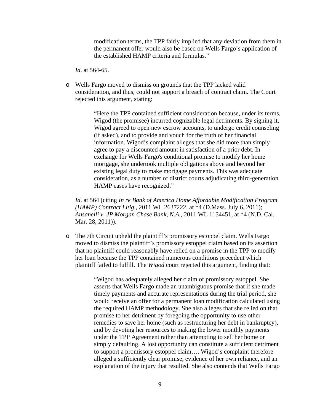modification terms, the TPP fairly implied that any deviation from them in the permanent offer would also be based on Wells Fargo's application of the established HAMP criteria and formulas."

*Id*. at 564-65.

o Wells Fargo moved to dismiss on grounds that the TPP lacked valid consideration, and thus, could not support a breach of contract claim. The Court rejected this argument, stating:

> "Here the TPP contained sufficient consideration because, under its terms, Wigod (the promisee) incurred cognizable legal detriments. By signing it, Wigod agreed to open new escrow accounts, to undergo credit counseling (if asked), and to provide and vouch for the truth of her financial information. Wigod's complaint alleges that she did more than simply agree to pay a discounted amount in satisfaction of a prior debt. In exchange for Wells Fargo's conditional promise to modify her home mortgage, she undertook multiple obligations above and beyond her existing legal duty to make mortgage payments. This was adequate consideration, as a number of district courts adjudicating third-generation HAMP cases have recognized."

*Id*. at 564 (citing *In re Bank of America Home Affordable Modification Program (HAMP) Contract Litig.*, 2011 WL 2637222, at \*4 (D.Mass. July 6, 2011); *Ansanelli v. JP Morgan Chase Bank, N.A.*, 2011 WL 1134451, at \*4 (N.D. Cal. Mar. 28, 2011)).

o The 7th Circuit upheld the plaintiff's promissory estoppel claim. Wells Fargo moved to dismiss the plaintiff's promissory estoppel claim based on its assertion that no plaintiff could reasonably have relied on a promise in the TPP to modify her loan because the TPP contained numerous conditions precedent which plaintiff failed to fulfill. The *Wigod* court rejected this argument, finding that:

> "Wigod has adequately alleged her claim of promissory estoppel. She asserts that Wells Fargo made an unambiguous promise that if she made timely payments and accurate representations during the trial period, she would receive an offer for a permanent loan modification calculated using the required HAMP methodology. She also alleges that she relied on that promise to her detriment by foregoing the opportunity to use other remedies to save her home (such as restructuring her debt in bankruptcy), and by devoting her resources to making the lower monthly payments under the TPP Agreement rather than attempting to sell her home or simply defaulting. A lost opportunity can constitute a sufficient detriment to support a promissory estoppel claim…. Wigod's complaint therefore alleged a sufficiently clear promise, evidence of her own reliance, and an explanation of the injury that resulted. She also contends that Wells Fargo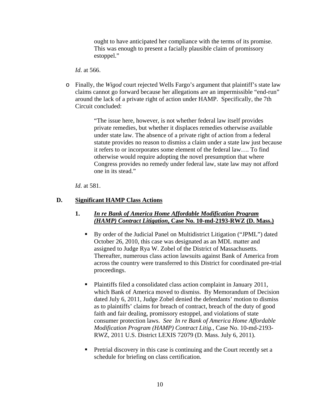ought to have anticipated her compliance with the terms of its promise. This was enough to present a facially plausible claim of promissory estoppel."

*Id*. at 566.

o Finally, the *Wigod* court rejected Wells Fargo's argument that plaintiff's state law claims cannot go forward because her allegations are an impermissible "end-run" around the lack of a private right of action under HAMP. Specifically, the 7th Circuit concluded:

> "The issue here, however, is not whether federal law itself provides private remedies, but whether it displaces remedies otherwise available under state law. The absence of a private right of action from a federal statute provides no reason to dismiss a claim under a state law just because it refers to or incorporates some element of the federal law…. To find otherwise would require adopting the novel presumption that where Congress provides no remedy under federal law, state law may not afford one in its stead."

*Id*. at 581.

# **D. Significant HAMP Class Actions**

## **1.** *In re Bank of America Home Affordable Modification Program (HAMP) Contract Litigation***, Case No. 10-md-2193-RWZ (D. Mass.)**

- By order of the Judicial Panel on Multidistrict Litigation ("JPML") dated October 26, 2010, this case was designated as an MDL matter and assigned to Judge Rya W. Zobel of the District of Massachusetts. Thereafter, numerous class action lawsuits against Bank of America from across the country were transferred to this District for coordinated pre-trial proceedings.
- Plaintiffs filed a consolidated class action complaint in January 2011, which Bank of America moved to dismiss. By Memorandum of Decision dated July 6, 2011, Judge Zobel denied the defendants' motion to dismiss as to plaintiffs' claims for breach of contract, breach of the duty of good faith and fair dealing, promissory estoppel, and violations of state consumer protection laws. *See In re Bank of America Home Affordable Modification Program (HAMP) Contract Litig.*, Case No. 10-md-2193- RWZ, 2011 U.S. District LEXIS 72079 (D. Mass. July 6, 2011).
- **Pretrial discovery in this case is continuing and the Court recently set a** schedule for briefing on class certification.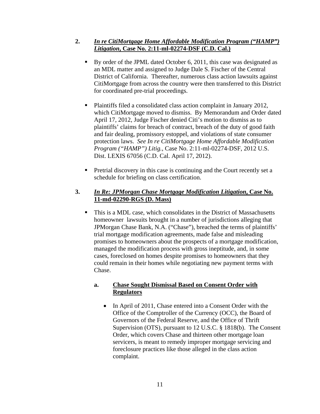# **2.** *In re CitiMortgage Home Affordable Modification Program ("HAMP") Litigation***, Case No. 2:11-ml-02274-DSF (C.D. Cal.)**

- By order of the JPML dated October 6, 2011, this case was designated as an MDL matter and assigned to Judge Dale S. Fischer of the Central District of California. Thereafter, numerous class action lawsuits against CitiMortgage from across the country were then transferred to this District for coordinated pre-trial proceedings.
- Plaintiffs filed a consolidated class action complaint in January 2012, which CitiMortgage moved to dismiss. By Memorandum and Order dated April 17, 2012, Judge Fischer denied Citi's motion to dismiss as to plaintiffs' claims for breach of contract, breach of the duty of good faith and fair dealing, promissory estoppel, and violations of state consumer protection laws. *See In re CitiMortgage Home Affordable Modification Program ("HAMP") Litig.*, Case No. 2:11-ml-02274-DSF, 2012 U.S. Dist. LEXIS 67056 (C.D. Cal. April 17, 2012).
- **Pretrial discovery in this case is continuing and the Court recently set a** schedule for briefing on class certification.

# **3.** *In Re: JPMorgan Chase Mortgage Modification Litigation***, Case No. 11-md-02290-RGS (D. Mass)**

 This is a MDL case, which consolidates in the District of Massachusetts homeowner lawsuits brought in a number of jurisdictions alleging that JPMorgan Chase Bank, N.A. ("Chase"), breached the terms of plaintiffs' trial mortgage modification agreements, made false and misleading promises to homeowners about the prospects of a mortgage modification, managed the modification process with gross ineptitude, and, in some cases, foreclosed on homes despite promises to homeowners that they could remain in their homes while negotiating new payment terms with Chase.

## **a. Chase Sought Dismissal Based on Consent Order with Regulators**

• In April of 2011, Chase entered into a Consent Order with the Office of the Comptroller of the Currency (OCC), the Board of Governors of the Federal Reserve, and the Office of Thrift Supervision (OTS), pursuant to 12 U.S.C. § 1818(b). The Consent Order, which covers Chase and thirteen other mortgage loan servicers, is meant to remedy improper mortgage servicing and foreclosure practices like those alleged in the class action complaint.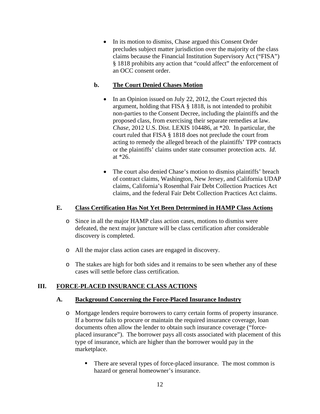• In its motion to dismiss, Chase argued this Consent Order precludes subject matter jurisdiction over the majority of the class claims because the Financial Institution Supervisory Act ("FISA") § 1818 prohibits any action that "could affect" the enforcement of an OCC consent order.

# **b. The Court Denied Chases Motion**

- In an Opinion issued on July 22, 2012, the Court rejected this argument, holding that FISA § 1818, is not intended to prohibit non-parties to the Consent Decree, including the plaintiffs and the proposed class, from exercising their separate remedies at law. *Chase*, 2012 U.S. Dist. LEXIS 104486, at \*20. In particular, the court ruled that FISA § 1818 does not preclude the court from acting to remedy the alleged breach of the plaintiffs' TPP contracts or the plaintiffs' claims under state consumer protection acts. *Id*. at \*26.
- The court also denied Chase's motion to dismiss plaintiffs' breach of contract claims, Washington, New Jersey, and California UDAP claims, California's Rosenthal Fair Debt Collection Practices Act claims, and the federal Fair Debt Collection Practices Act claims.

# **E. Class Certification Has Not Yet Been Determined in HAMP Class Actions**

- o Since in all the major HAMP class action cases, motions to dismiss were defeated, the next major juncture will be class certification after considerable discovery is completed.
- o All the major class action cases are engaged in discovery.
- o The stakes are high for both sides and it remains to be seen whether any of these cases will settle before class certification.

# **III. FORCE-PLACED INSURANCE CLASS ACTIONS**

# **A. Background Concerning the Force-Placed Insurance Industry**

- o Mortgage lenders require borrowers to carry certain forms of property insurance. If a borrow fails to procure or maintain the required insurance coverage, loan documents often allow the lender to obtain such insurance coverage ("forceplaced insurance"). The borrower pays all costs associated with placement of this type of insurance, which are higher than the borrower would pay in the marketplace.
	- There are several types of force-placed insurance. The most common is hazard or general homeowner's insurance.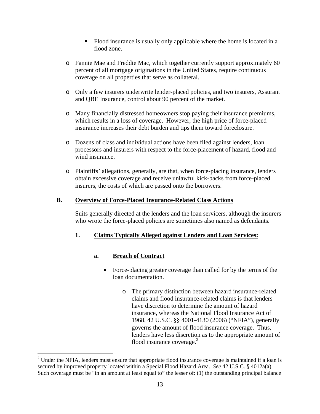- Flood insurance is usually only applicable where the home is located in a flood zone.
- o Fannie Mae and Freddie Mac, which together currently support approximately 60 percent of all mortgage originations in the United States, require continuous coverage on all properties that serve as collateral.
- o Only a few insurers underwrite lender-placed policies, and two insurers, Assurant and QBE Insurance, control about 90 percent of the market.
- o Many financially distressed homeowners stop paying their insurance premiums, which results in a loss of coverage. However, the high price of force-placed insurance increases their debt burden and tips them toward foreclosure.
- o Dozens of class and individual actions have been filed against lenders, loan processors and insurers with respect to the force-placement of hazard, flood and wind insurance.
- o Plaintiffs' allegations, generally, are that, when force-placing insurance, lenders obtain excessive coverage and receive unlawful kick-backs from force-placed insurers, the costs of which are passed onto the borrowers.

# **B. Overview of Force-Placed Insurance-Related Class Actions**

Suits generally directed at the lenders and the loan servicers, although the insurers who wrote the force-placed policies are sometimes also named as defendants.

# **1. Claims Typically Alleged against Lenders and Loan Services:**

# **a. Breach of Contract**

1

- Force-placing greater coverage than called for by the terms of the loan documentation.
	- o The primary distinction between hazard insurance-related claims and flood insurance-related claims is that lenders have discretion to determine the amount of hazard insurance, whereas the National Flood Insurance Act of 1968, 42 U.S.C. §§ 4001-4130 (2006) ("NFIA"), generally governs the amount of flood insurance coverage. Thus, lenders have less discretion as to the appropriate amount of flood insurance coverage. $2$

 $2<sup>2</sup>$  Under the NFIA, lenders must ensure that appropriate flood insurance coverage is maintained if a loan is secured by improved property located within a Special Flood Hazard Area. *See* 42 U.S.C. § 4012a(a). Such coverage must be "in an amount at least equal to" the lesser of: (1) the outstanding principal balance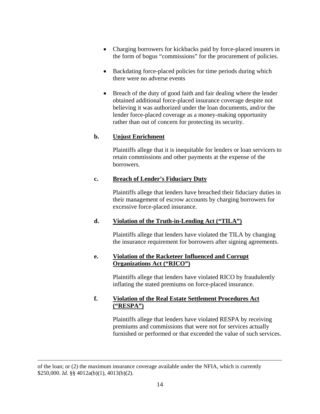- Charging borrowers for kickbacks paid by force-placed insurers in the form of bogus "commissions" for the procurement of policies.
- Backdating force-placed policies for time periods during which there were no adverse events
- Breach of the duty of good faith and fair dealing where the lender obtained additional force-placed insurance coverage despite not believing it was authorized under the loan documents, and/or the lender force-placed coverage as a money-making opportunity rather than out of concern for protecting its security.

# **b. Unjust Enrichment**

Plaintiffs allege that it is inequitable for lenders or loan servicers to retain commissions and other payments at the expense of the borrowers.

# **c. Breach of Lender's Fiduciary Duty**

Plaintiffs allege that lenders have breached their fiduciary duties in their management of escrow accounts by charging borrowers for excessive force-placed insurance.

# **d. Violation of the Truth-in-Lending Act ("TILA")**

Plaintiffs allege that lenders have violated the TILA by changing the insurance requirement for borrowers after signing agreements.

# **e. Violation of the Racketeer Influenced and Corrupt Organizations Act ("RICO")**

Plaintiffs allege that lenders have violated RICO by fraudulently inflating the stated premiums on force-placed insurance.

# **f. Violation of the Real Estate Settlement Procedures Act ("RESPA")**

Plaintiffs allege that lenders have violated RESPA by receiving premiums and commissions that were not for services actually furnished or performed or that exceeded the value of such services.

1

of the loan; or (2) the maximum insurance coverage available under the NFIA, which is currently \$250,000. *Id*. §§ 4012a(b)(1), 4013(b)(2).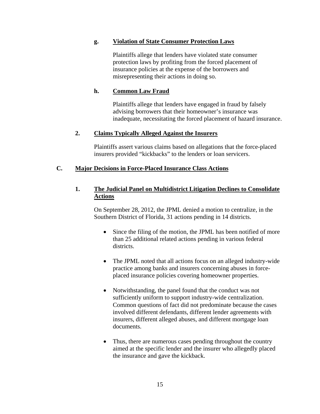#### **g. Violation of State Consumer Protection Laws**

Plaintiffs allege that lenders have violated state consumer protection laws by profiting from the forced placement of insurance policies at the expense of the borrowers and misrepresenting their actions in doing so.

#### **h. Common Law Fraud**

Plaintiffs allege that lenders have engaged in fraud by falsely advising borrowers that their homeowner's insurance was inadequate, necessitating the forced placement of hazard insurance.

#### **2. Claims Typically Alleged Against the Insurers**

Plaintiffs assert various claims based on allegations that the force-placed insurers provided "kickbacks" to the lenders or loan servicers.

#### **C. Major Decisions in Force-Placed Insurance Class Actions**

#### **1. The Judicial Panel on Multidistrict Litigation Declines to Consolidate Actions**

On September 28, 2012, the JPML denied a motion to centralize, in the Southern District of Florida, 31 actions pending in 14 districts.

- Since the filing of the motion, the JPML has been notified of more than 25 additional related actions pending in various federal districts.
- The JPML noted that all actions focus on an alleged industry-wide practice among banks and insurers concerning abuses in forceplaced insurance policies covering homeowner properties.
- Notwithstanding, the panel found that the conduct was not sufficiently uniform to support industry-wide centralization. Common questions of fact did not predominate because the cases involved different defendants, different lender agreements with insurers, different alleged abuses, and different mortgage loan documents.
- Thus, there are numerous cases pending throughout the country aimed at the specific lender and the insurer who allegedly placed the insurance and gave the kickback.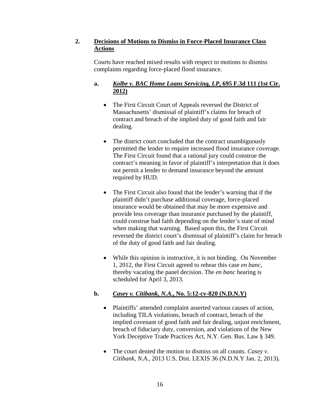# **2. Decisions of Motions to Dismiss in Force-Placed Insurance Class Actions**

Courts have reached mixed results with respect to motions to dismiss complaints regarding force-placed flood insurance.

# **a.** *Kolbe v. BAC Home Loans Servicing, LP***, 695 F.3d 111 (1st Cir. 2012)**

- The First Circuit Court of Appeals reversed the District of Massachusetts' dismissal of plaintiff's claims for breach of contract and breach of the implied duty of good faith and fair dealing.
- The district court concluded that the contract unambiguously permitted the lender to require increased flood insurance coverage. The First Circuit found that a rational jury could construe the contract's meaning in favor of plaintiff's interpretation that it does not permit a lender to demand insurance beyond the amount required by HUD.
- The First Circuit also found that the lender's warning that if the plaintiff didn't purchase additional coverage, force-placed insurance would be obtained that may be more expensive and provide less coverage than insurance purchased by the plaintiff, could construe bad faith depending on the lender's state of mind when making that warning. Based upon this, the First Circuit reversed the district court's dismissal of plaintiff's claim for breach of the duty of good faith and fair dealing.
- While this opinion is instructive, it is not binding. On November 1, 2012, the First Circuit agreed to rehear this case *en banc*, thereby vacating the panel decision. The *en banc* hearing is scheduled for April 3, 2013.

# **b.** *Casey v. Citibank, N.A.***, No. 5:12-cv-820 (N.D.N.Y)**

- Plaintiffs' amended complaint asserted various causes of action, including TILA violations, breach of contract, breach of the implied covenant of good faith and fair dealing, unjust enrichment, breach of fiduciary duty, conversion, and violations of the New York Deceptive Trade Practices Act, N.Y. Gen. Bus. Law § 349.
- The court denied the motion to dismiss on all counts. *Casey v. Citibank, N.A*., 2013 U.S. Dist. LEXIS 36 (N.D.N.Y Jan. 2, 2013).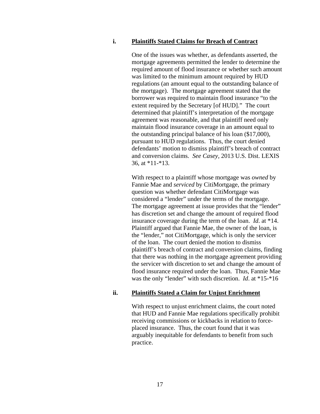#### **i. Plaintiffs Stated Claims for Breach of Contract**

One of the issues was whether, as defendants asserted, the mortgage agreements permitted the lender to determine the required amount of flood insurance or whether such amount was limited to the minimum amount required by HUD regulations (an amount equal to the outstanding balance of the mortgage). The mortgage agreement stated that the borrower was required to maintain flood insurance "to the extent required by the Secretary [of HUD]." The court determined that plaintiff's interpretation of the mortgage agreement was reasonable, and that plaintiff need only maintain flood insurance coverage in an amount equal to the outstanding principal balance of his loan (\$17,000), pursuant to HUD regulations. Thus, the court denied defendants' motion to dismiss plaintiff's breach of contract and conversion claims. *See Casey*, 2013 U.S. Dist. LEXIS 36, at \*11-\*13.

With respect to a plaintiff whose mortgage was *owned* by Fannie Mae and *serviced* by CitiMortgage, the primary question was whether defendant CitiMortgage was considered a "lender" under the terms of the mortgage. The mortgage agreement at issue provides that the "lender" has discretion set and change the amount of required flood insurance coverage during the term of the loan. *Id*. at \*14. Plaintiff argued that Fannie Mae, the owner of the loan, is the "lender," not CitiMortgage, which is only the servicer of the loan. The court denied the motion to dismiss plaintiff's breach of contract and conversion claims, finding that there was nothing in the mortgage agreement providing the servicer with discretion to set and change the amount of flood insurance required under the loan. Thus, Fannie Mae was the only "lender" with such discretion. *Id*. at \*15-\*16

#### **ii. Plaintiffs Stated a Claim for Unjust Enrichment**

With respect to unjust enrichment claims, the court noted that HUD and Fannie Mae regulations specifically prohibit receiving commissions or kickbacks in relation to forceplaced insurance. Thus, the court found that it was arguably inequitable for defendants to benefit from such practice.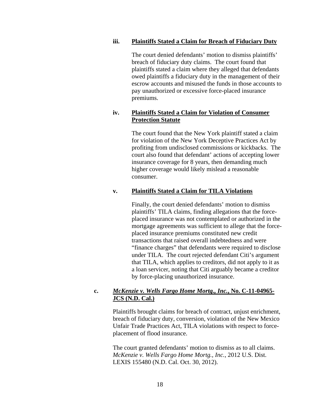#### **iii. Plaintiffs Stated a Claim for Breach of Fiduciary Duty**

The court denied defendants' motion to dismiss plaintiffs' breach of fiduciary duty claims. The court found that plaintiffs stated a claim where they alleged that defendants owed plaintiffs a fiduciary duty in the management of their escrow accounts and misused the funds in those accounts to pay unauthorized or excessive force-placed insurance premiums.

#### **iv. Plaintiffs Stated a Claim for Violation of Consumer Protection Statute**

The court found that the New York plaintiff stated a claim for violation of the New York Deceptive Practices Act by profiting from undisclosed commissions or kickbacks. The court also found that defendant' actions of accepting lower insurance coverage for 8 years, then demanding much higher coverage would likely mislead a reasonable consumer.

#### **v. Plaintiffs Stated a Claim for TILA Violations**

Finally, the court denied defendants' motion to dismiss plaintiffs' TILA claims, finding allegations that the forceplaced insurance was not contemplated or authorized in the mortgage agreements was sufficient to allege that the forceplaced insurance premiums constituted new credit transactions that raised overall indebtedness and were "finance charges" that defendants were required to disclose under TILA. The court rejected defendant Citi's argument that TILA, which applies to creditors, did not apply to it as a loan servicer, noting that Citi arguably became a creditor by force-placing unauthorized insurance.

#### **c.** *McKenzie v. Wells Fargo Home Mortg., Inc.***, No. C-11-04965- JCS (N.D. Cal.)**

Plaintiffs brought claims for breach of contract, unjust enrichment, breach of fiduciary duty, conversion, violation of the New Mexico Unfair Trade Practices Act, TILA violations with respect to forceplacement of flood insurance.

The court granted defendants' motion to dismiss as to all claims. *McKenzie v. Wells Fargo Home Mortg., Inc.*, 2012 U.S. Dist. LEXIS 155480 (N.D. Cal. Oct. 30, 2012).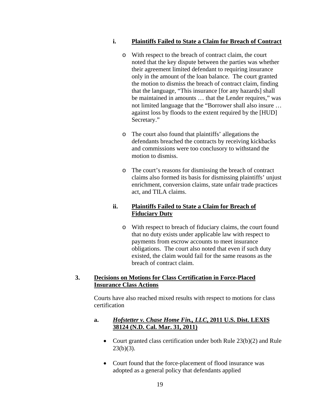#### **i. Plaintiffs Failed to State a Claim for Breach of Contract**

- o With respect to the breach of contract claim, the court noted that the key dispute between the parties was whether their agreement limited defendant to requiring insurance only in the amount of the loan balance. The court granted the motion to dismiss the breach of contract claim, finding that the language, "This insurance [for any hazards] shall be maintained in amounts … that the Lender requires," was not limited language that the "Borrower shall also insure … against loss by floods to the extent required by the [HUD] Secretary."
- o The court also found that plaintiffs' allegations the defendants breached the contracts by receiving kickbacks and commissions were too conclusory to withstand the motion to dismiss.
- o The court's reasons for dismissing the breach of contract claims also formed its basis for dismissing plaintiffs' unjust enrichment, conversion claims, state unfair trade practices act, and TILA claims.

#### **ii. Plaintiffs Failed to State a Claim for Breach of Fiduciary Duty**

o With respect to breach of fiduciary claims, the court found that no duty exists under applicable law with respect to payments from escrow accounts to meet insurance obligations. The court also noted that even if such duty existed, the claim would fail for the same reasons as the breach of contract claim.

## **3. Decisions on Motions for Class Certification in Force-Placed Insurance Class Actions**

Courts have also reached mixed results with respect to motions for class certification

## **a.** *Hofstetter v. Chase Home Fin., LLC***, 2011 U.S. Dist. LEXIS 38124 (N.D. Cal. Mar. 31, 2011)**

- Court granted class certification under both Rule 23(b)(2) and Rule  $23(b)(3)$ .
- Court found that the force-placement of flood insurance was adopted as a general policy that defendants applied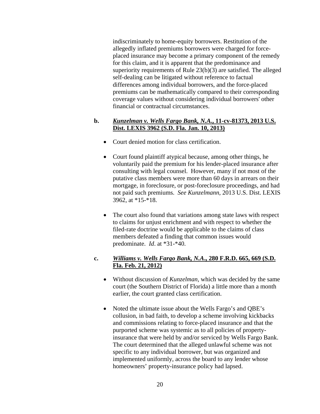indiscriminately to home-equity borrowers. Restitution of the allegedly inflated premiums borrowers were charged for forceplaced insurance may become a primary component of the remedy for this claim, and it is apparent that the predominance and superiority requirements of Rule 23(b)(3) are satisfied. The alleged self-dealing can be litigated without reference to factual differences among individual borrowers, and the force-placed premiums can be mathematically compared to their corresponding coverage values without considering individual borrowers' other financial or contractual circumstances.

#### **b.** *Kunzelman v. Wells Fargo Bank, N.A.***, 11-cv-81373, 2013 U.S. Dist. LEXIS 3962 (S.D. Fla. Jan. 10, 2013)**

- Court denied motion for class certification.
- Court found plaintiff atypical because, among other things, he voluntarily paid the premium for his lender-placed insurance after consulting with legal counsel. However, many if not most of the putative class members were more than 60 days in arrears on their mortgage, in foreclosure, or post-foreclosure proceedings, and had not paid such premiums. *See Kunzelmann*, 2013 U.S. Dist. LEXIS 3962, at \*15-\*18.
- The court also found that variations among state laws with respect to claims for unjust enrichment and with respect to whether the filed-rate doctrine would be applicable to the claims of class members defeated a finding that common issues would predominate. *Id*. at \*31-\*40.

## **c.** *Williams v. Wells Fargo Bank, N.A***., 280 F.R.D. 665, 669 (S.D. Fla. Feb. 21, 2012)**

- Without discussion of *Kunzelman*, which was decided by the same court (the Southern District of Florida) a little more than a month earlier, the court granted class certification.
- Noted the ultimate issue about the Wells Fargo's and QBE's collusion, in bad faith, to develop a scheme involving kickbacks and commissions relating to force-placed insurance and that the purported scheme was systemic as to all policies of propertyinsurance that were held by and/or serviced by Wells Fargo Bank. The court determined that the alleged unlawful scheme was not specific to any individual borrower, but was organized and implemented uniformly, across the board to any lender whose homeowners' property-insurance policy had lapsed.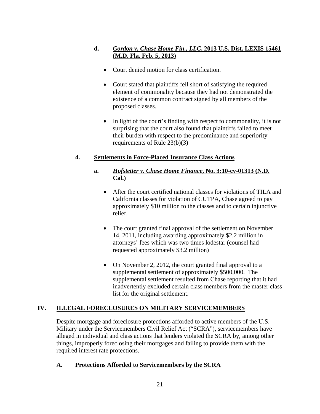# **d.** *Gordon v. Chase Home Fin., LLC***, 2013 U.S. Dist. LEXIS 15461 (M.D. Fla. Feb. 5, 2013)**

- Court denied motion for class certification.
- Court stated that plaintiffs fell short of satisfying the required element of commonality because they had not demonstrated the existence of a common contract signed by all members of the proposed classes.
- In light of the court's finding with respect to commonality, it is not surprising that the court also found that plaintiffs failed to meet their burden with respect to the predominance and superiority requirements of Rule 23(b)(3)

# **4. Settlements in Force-Placed Insurance Class Actions**

# **a.** *Hofstetter v. Chase Home Finance***, No. 3:10-cv-01313 (N.D. Cal.)**

- After the court certified national classes for violations of TILA and California classes for violation of CUTPA, Chase agreed to pay approximately \$10 million to the classes and to certain injunctive relief.
- The court granted final approval of the settlement on November 14, 2011, including awarding approximately \$2.2 million in attorneys' fees which was two times lodestar (counsel had requested approximately \$3.2 million)
- On November 2, 2012, the court granted final approval to a supplemental settlement of approximately \$500,000. The supplemental settlement resulted from Chase reporting that it had inadvertently excluded certain class members from the master class list for the original settlement.

# **IV. ILLEGAL FORECLOSURES ON MILITARY SERVICEMEMBERS**

Despite mortgage and foreclosure protections afforded to active members of the U.S. Military under the Servicemembers Civil Relief Act ("SCRA"), servicemembers have alleged in individual and class actions that lenders violated the SCRA by, among other things, improperly foreclosing their mortgages and failing to provide them with the required interest rate protections.

# **A. Protections Afforded to Servicemembers by the SCRA**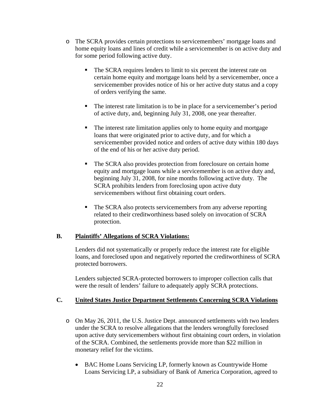- o The SCRA provides certain protections to servicemembers' mortgage loans and home equity loans and lines of credit while a servicemember is on active duty and for some period following active duty.
	- The SCRA requires lenders to limit to six percent the interest rate on certain home equity and mortgage loans held by a servicemember, once a servicemember provides notice of his or her active duty status and a copy of orders verifying the same.
	- The interest rate limitation is to be in place for a servicemember's period of active duty, and, beginning July 31, 2008, one year thereafter.
	- The interest rate limitation applies only to home equity and mortgage loans that were originated prior to active duty, and for which a servicemember provided notice and orders of active duty within 180 days of the end of his or her active duty period.
	- The SCRA also provides protection from foreclosure on certain home equity and mortgage loans while a servicemember is on active duty and, beginning July 31, 2008, for nine months following active duty. The SCRA prohibits lenders from foreclosing upon active duty servicemembers without first obtaining court orders.
	- The SCRA also protects servicemembers from any adverse reporting related to their creditworthiness based solely on invocation of SCRA protection.

## **B. Plaintiffs' Allegations of SCRA Violations:**

Lenders did not systematically or properly reduce the interest rate for eligible loans, and foreclosed upon and negatively reported the creditworthiness of SCRA protected borrowers.

Lenders subjected SCRA-protected borrowers to improper collection calls that were the result of lenders' failure to adequately apply SCRA protections.

## **C. United States Justice Department Settlements Concerning SCRA Violations**

- o On May 26, 2011, the U.S. Justice Dept. announced settlements with two lenders under the SCRA to resolve allegations that the lenders wrongfully foreclosed upon active duty servicemembers without first obtaining court orders, in violation of the SCRA. Combined, the settlements provide more than \$22 million in monetary relief for the victims.
	- BAC Home Loans Servicing LP, formerly known as Countrywide Home Loans Servicing LP, a subsidiary of Bank of America Corporation, agreed to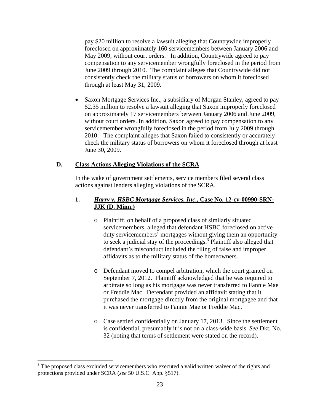pay \$20 million to resolve a lawsuit alleging that Countrywide improperly foreclosed on approximately 160 servicemembers between January 2006 and May 2009, without court orders. In addition, Countrywide agreed to pay compensation to any servicemember wrongfully foreclosed in the period from June 2009 through 2010. The complaint alleges that Countrywide did not consistently check the military status of borrowers on whom it foreclosed through at least May 31, 2009.

• Saxon Mortgage Services Inc., a subsidiary of Morgan Stanley, agreed to pay \$2.35 million to resolve a lawsuit alleging that Saxon improperly foreclosed on approximately 17 servicemembers between January 2006 and June 2009, without court orders. In addition, Saxon agreed to pay compensation to any servicemember wrongfully foreclosed in the period from July 2009 through 2010. The complaint alleges that Saxon failed to consistently or accurately check the military status of borrowers on whom it foreclosed through at least June 30, 2009.

#### **D. Class Actions Alleging Violations of the SCRA**

In the wake of government settlements, service members filed several class actions against lenders alleging violations of the SCRA.

# **1.** *Harry v. HSBC Mortgage Services, Inc***., Case No. 12-cv-00990-SRN-JJK (D. Minn.)**

- o Plaintiff, on behalf of a proposed class of similarly situated servicemembers, alleged that defendant HSBC foreclosed on active duty servicemembers' mortgages without giving them an opportunity to seek a judicial stay of the proceedings.<sup>3</sup> Plaintiff also alleged that defendant's misconduct included the filing of false and improper affidavits as to the military status of the homeowners.
- o Defendant moved to compel arbitration, which the court granted on September 7, 2012. Plaintiff acknowledged that he was required to arbitrate so long as his mortgage was never transferred to Fannie Mae or Freddie Mac. Defendant provided an affidavit stating that it purchased the mortgage directly from the original mortgagee and that it was never transferred to Fannie Mae or Freddie Mac.
- o Case settled confidentially on January 17, 2013. Since the settlement is confidential, presumably it is not on a class-wide basis. *See* Dkt. No. 32 (noting that terms of settlement were stated on the record).

1

 $3$  The proposed class excluded servicemembers who executed a valid written waiver of the rights and protections provided under SCRA (*see* 50 U.S.C. App. §517).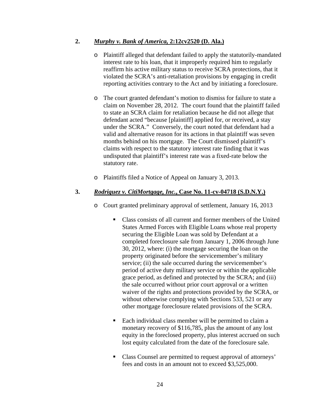#### **2.** *Murphy v. Bank of America,* **2:12cv2520 (D. Ala.)**

- o Plaintiff alleged that defendant failed to apply the statutorily-mandated interest rate to his loan, that it improperly required him to regularly reaffirm his active military status to receive SCRA protections, that it violated the SCRA's anti-retaliation provisions by engaging in credit reporting activities contrary to the Act and by initiating a foreclosure.
- o The court granted defendant's motion to dismiss for failure to state a claim on November 28, 2012. The court found that the plaintiff failed to state an SCRA claim for retaliation because he did not allege that defendant acted "because [plaintiff] applied for, or received, a stay under the SCRA." Conversely, the court noted that defendant had a valid and alternative reason for its actions in that plaintiff was seven months behind on his mortgage. The Court dismissed plaintiff's claims with respect to the statutory interest rate finding that it was undisputed that plaintiff's interest rate was a fixed-rate below the statutory rate.
- o Plaintiffs filed a Notice of Appeal on January 3, 2013.

#### **3.** *Rodriguez v. CitiMortgage, Inc.***, Case No. 11-cv-04718 (S.D.N.Y.)**

- o Court granted preliminary approval of settlement, January 16, 2013
	- Class consists of all current and former members of the United States Armed Forces with Eligible Loans whose real property securing the Eligible Loan was sold by Defendant at a completed foreclosure sale from January 1, 2006 through June 30, 2012, where: (i) the mortgage securing the loan on the property originated before the servicemember's military service; (ii) the sale occurred during the servicemember's period of active duty military service or within the applicable grace period, as defined and protected by the SCRA; and (iii) the sale occurred without prior court approval or a written waiver of the rights and protections provided by the SCRA, or without otherwise complying with Sections 533, 521 or any other mortgage foreclosure related provisions of the SCRA.
	- Each individual class member will be permitted to claim a monetary recovery of \$116,785, plus the amount of any lost equity in the foreclosed property, plus interest accrued on such lost equity calculated from the date of the foreclosure sale.
	- Class Counsel are permitted to request approval of attorneys' fees and costs in an amount not to exceed \$3,525,000.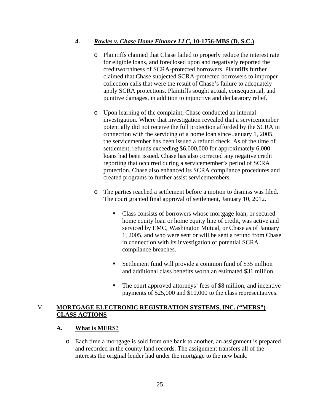# **4.** *Rowles v. Chase Home Finance LLC***, 10-1756-MBS (D. S.C.)**

- o Plaintiffs claimed that Chase failed to properly reduce the interest rate for eligible loans, and foreclosed upon and negatively reported the creditworthiness of SCRA-protected borrowers. Plaintiffs further claimed that Chase subjected SCRA-protected borrowers to improper collection calls that were the result of Chase's failure to adequately apply SCRA protections. Plaintiffs sought actual, consequential, and punitive damages, in addition to injunctive and declaratory relief.
- o Upon learning of the complaint, Chase conducted an internal investigation. Where that investigation revealed that a servicemember potentially did not receive the full protection afforded by the SCRA in connection with the servicing of a home loan since January 1, 2005, the servicemember has been issued a refund check. As of the time of settlement, refunds exceeding \$6,000,000 for approximately 6,000 loans had been issued. Chase has also corrected any negative credit reporting that occurred during a servicemember's period of SCRA protection. Chase also enhanced its SCRA compliance procedures and created programs to further assist servicemembers.
- o The parties reached a settlement before a motion to dismiss was filed. The court granted final approval of settlement, January 10, 2012.
	- Class consists of borrowers whose mortgage loan, or secured home equity loan or home equity line of credit, was active and serviced by EMC, Washington Mutual, or Chase as of January 1, 2005, and who were sent or will be sent a refund from Chase in connection with its investigation of potential SCRA compliance breaches.
	- Settlement fund will provide a common fund of \$35 million and additional class benefits worth an estimated \$31 million.
	- The court approved attorneys' fees of \$8 million, and incentive payments of \$25,000 and \$10,000 to the class representatives.

# V. **MORTGAGE ELECTRONIC REGISTRATION SYSTEMS, INC. ("MERS") CLASS ACTIONS**

## **A. What is MERS?**

o Each time a mortgage is sold from one bank to another, an assignment is prepared and recorded in the county land records. The assignment transfers all of the interests the original lender had under the mortgage to the new bank.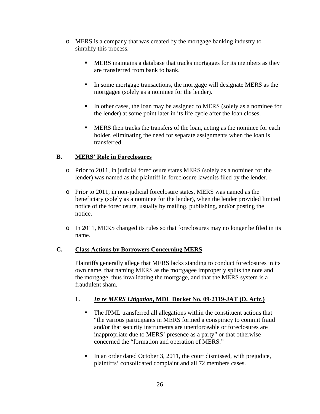- o MERS is a company that was created by the mortgage banking industry to simplify this process.
	- **MERS** maintains a database that tracks mortgages for its members as they are transferred from bank to bank.
	- In some mortgage transactions, the mortgage will designate MERS as the mortgagee (solely as a nominee for the lender).
	- In other cases, the loan may be assigned to MERS (solely as a nominee for the lender) at some point later in its life cycle after the loan closes.
	- **MERS** then tracks the transfers of the loan, acting as the nominee for each holder, eliminating the need for separate assignments when the loan is transferred.

# **B. MERS' Role in Foreclosures**

- o Prior to 2011, in judicial foreclosure states MERS (solely as a nominee for the lender) was named as the plaintiff in foreclosure lawsuits filed by the lender.
- o Prior to 2011, in non-judicial foreclosure states, MERS was named as the beneficiary (solely as a nominee for the lender), when the lender provided limited notice of the foreclosure, usually by mailing, publishing, and/or posting the notice.
- o In 2011, MERS changed its rules so that foreclosures may no longer be filed in its name.

## **C. Class Actions by Borrowers Concerning MERS**

Plaintiffs generally allege that MERS lacks standing to conduct foreclosures in its own name, that naming MERS as the mortgagee improperly splits the note and the mortgage, thus invalidating the mortgage, and that the MERS system is a fraudulent sham.

# **1.** *In re MERS Litigation***, MDL Docket No. 09**‐**2119**‐**JAT (D. Ariz.)**

- The JPML transferred all allegations within the constituent actions that "the various participants in MERS formed a conspiracy to commit fraud and/or that security instruments are unenforceable or foreclosures are inappropriate due to MERS' presence as a party" or that otherwise concerned the "formation and operation of MERS."
- In an order dated October 3, 2011, the court dismissed, with prejudice, plaintiffs' consolidated complaint and all 72 members cases.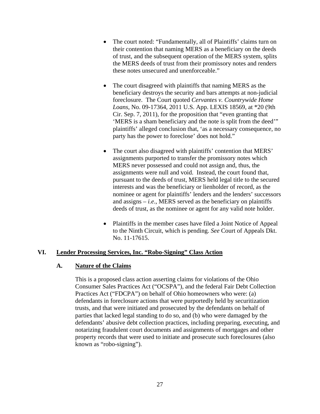- The court noted: "Fundamentally, all of Plaintiffs' claims turn on their contention that naming MERS as a beneficiary on the deeds of trust, and the subsequent operation of the MERS system, splits the MERS deeds of trust from their promissory notes and renders these notes unsecured and unenforceable."
- The court disagreed with plaintiffs that naming MERS as the beneficiary destroys the security and bars attempts at non-judicial foreclosure. The Court quoted *Cervantes v. Countrywide Home Loans*, No. 09-17364, 2011 U.S. App. LEXIS 18569, at \*20 (9th Cir. Sep. 7, 2011), for the proposition that "even granting that 'MERS is a sham beneficiary and the note is split from the deed'" plaintiffs' alleged conclusion that, 'as a necessary consequence, no party has the power to foreclose' does not hold."
- The court also disagreed with plaintiffs' contention that MERS' assignments purported to transfer the promissory notes which MERS never possessed and could not assign and, thus, the assignments were null and void. Instead, the court found that, pursuant to the deeds of trust, MERS held legal title to the secured interests and was the beneficiary or lienholder of record, as the nominee or agent for plaintiffs' lenders and the lenders' successors and assigns – *i.e*., MERS served as the beneficiary on plaintiffs deeds of trust, as the nominee or agent for any valid note holder.
- Plaintiffs in the member cases have filed a Joint Notice of Appeal to the Ninth Circuit, which is pending. *See* Court of Appeals Dkt. No. 11-17615.

#### **VI. Lender Processing Services, Inc. "Robo-Signing" Class Action**

#### **A. Nature of the Claims**

This is a proposed class action asserting claims for violations of the Ohio Consumer Sales Practices Act ("OCSPA"), and the federal Fair Debt Collection Practices Act ("FDCPA") on behalf of Ohio homeowners who were: (a) defendants in foreclosure actions that were purportedly held by securitization trusts, and that were initiated and prosecuted by the defendants on behalf of parties that lacked legal standing to do so, and (b) who were damaged by the defendants' abusive debt collection practices, including preparing, executing, and notarizing fraudulent court documents and assignments of mortgages and other property records that were used to initiate and prosecute such foreclosures (also known as "robo-signing").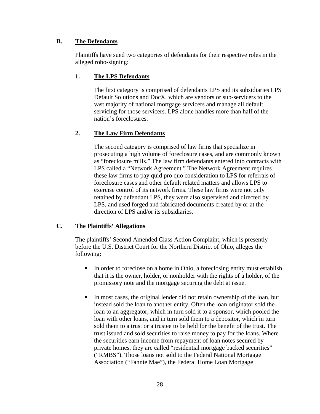# **B. The Defendants**

Plaintiffs have sued two categories of defendants for their respective roles in the alleged robo-signing:

# **1. The LPS Defendants**

The first category is comprised of defendants LPS and its subsidiaries LPS Default Solutions and DocX, which are vendors or sub-servicers to the vast majority of national mortgage servicers and manage all default servicing for those servicers. LPS alone handles more than half of the nation's foreclosures.

# **2. The Law Firm Defendants**

The second category is comprised of law firms that specialize in prosecuting a high volume of foreclosure cases, and are commonly known as "foreclosure mills." The law firm defendants entered into contracts with LPS called a "Network Agreement." The Network Agreement requires these law firms to pay quid pro quo consideration to LPS for referrals of foreclosure cases and other default related matters and allows LPS to exercise control of its network firms. These law firms were not only retained by defendant LPS, they were also supervised and directed by LPS, and used forged and fabricated documents created by or at the direction of LPS and/or its subsidiaries.

## **C. The Plaintiffs' Allegations**

The plaintiffs' Second Amended Class Action Complaint, which is presently before the U.S. District Court for the Northern District of Ohio, alleges the following:

- In order to foreclose on a home in Ohio, a foreclosing entity must establish that it is the owner, holder, or nonholder with the rights of a holder, of the promissory note and the mortgage securing the debt at issue.
- In most cases, the original lender did not retain ownership of the loan, but instead sold the loan to another entity. Often the loan originator sold the loan to an aggregator, which in turn sold it to a sponsor, which pooled the loan with other loans, and in turn sold them to a depositor, which in turn sold them to a trust or a trustee to be held for the benefit of the trust. The trust issued and sold securities to raise money to pay for the loans. Where the securities earn income from repayment of loan notes secured by private homes, they are called "residential mortgage backed securities" ("RMBS"). Those loans not sold to the Federal National Mortgage Association ("Fannie Mae"), the Federal Home Loan Mortgage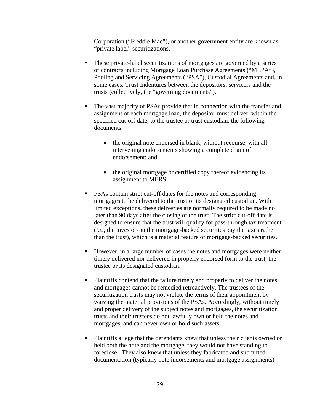Corporation ("Freddie Mac"), or another government entity are known as "private label" securitizations.

- These private-label securitizations of mortgages are governed by a series of contracts including Mortgage Loan Purchase Agreements ("MLPA"), Pooling and Servicing Agreements ("PSA"), Custodial Agreements and, in some cases, Trust Indentures between the depositors, servicers and the trusts (collectively, the "governing documents").
- The vast majority of PSAs provide that in connection with the transfer and assignment of each mortgage loan, the depositor must deliver, within the specified cut-off date, to the trustee or trust custodian, the following documents:
	- the original note endorsed in blank, without recourse, with all intervening endorsements showing a complete chain of endorsement; and
	- the original mortgage or certified copy thereof evidencing its assignment to MERS.
- **•** PSAs contain strict cut-off dates for the notes and corresponding mortgages to be delivered to the trust or its designated custodian. With limited exceptions, these deliveries are normally required to be made no later than 90 days after the closing of the trust. The strict cut-off date is designed to ensure that the trust will qualify for pass-through tax treatment (*i.e.*, the investors in the mortgage-backed securities pay the taxes rather than the trust), which is a material feature of mortgage-backed securities.
- However, in a large number of cases the notes and mortgages were neither timely delivered nor delivered in properly endorsed form to the trust, the trustee or its designated custodian.
- Plaintiffs contend that the failure timely and properly to deliver the notes and mortgages cannot be remedied retroactively. The trustees of the securitization trusts may not violate the terms of their appointment by waiving the material provisions of the PSAs. Accordingly, without timely and proper delivery of the subject notes and mortgages, the securitization trusts and their trustees do not lawfully own or hold the notes and mortgages, and can never own or hold such assets.
- Plaintiffs allege that the defendants knew that unless their clients owned or held both the note and the mortgage, they would not have standing to foreclose. They also knew that unless they fabricated and submitted documentation (typically note indorsements and mortgage assignments)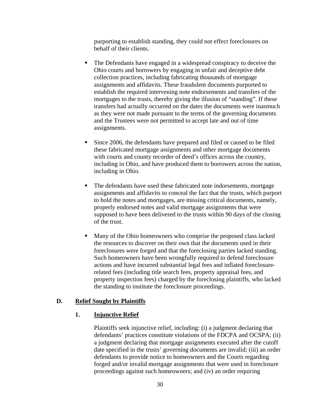purporting to establish standing, they could not effect foreclosures on behalf of their clients.

- The Defendants have engaged in a widespread conspiracy to deceive the Ohio courts and borrowers by engaging in unfair and deceptive debt collection practices, including fabricating thousands of mortgage assignments and affidavits. These fraudulent documents purported to establish the required intervening note endorsements and transfers of the mortgages to the trusts, thereby giving the illusion of "standing". If these transfers had actually occurred on the dates the documents were inasmuch as they were not made pursuant to the terms of the governing documents and the Trustees were not permitted to accept late and out of time assignments.
- Since 2006, the defendants have prepared and filed or caused to be filed these fabricated mortgage assignments and other mortgage documents with courts and county recorder of deed's offices across the country, including in Ohio, and have produced them to borrowers across the nation, including in Ohio.
- The defendants have used these fabricated note indorsements, mortgage assignments and affidavits to conceal the fact that the trusts, which purport to hold the notes and mortgages, are missing critical documents, namely, properly endorsed notes and valid mortgage assignments that were supposed to have been delivered to the trusts within 90 days of the closing of the trust.
- Many of the Ohio homeowners who comprise the proposed class lacked the resources to discover on their own that the documents used in their foreclosures were forged and that the foreclosing parties lacked standing. Such homeowners have been wrongfully required to defend foreclosure actions and have incurred substantial legal fees and inflated foreclosurerelated fees (including title search fees, property appraisal fees, and property inspection fees) charged by the foreclosing plaintiffs, who lacked the standing to institute the foreclosure proceedings.

#### **D. Relief Sought by Plaintiffs**

#### **1. Injunctive Relief**

Plaintiffs seek injunctive relief, including: (i) a judgment declaring that defendants' practices constitute violations of the FDCPA and OCSPA; (ii) a judgment declaring that mortgage assignments executed after the cutoff date specified in the trusts' governing documents are invalid; (iii) an order defendants to provide notice to homeowners and the Courts regarding forged and/or invalid mortgage assignments that were used in foreclosure proceedings against such homeowners; and (iv) an order requiring